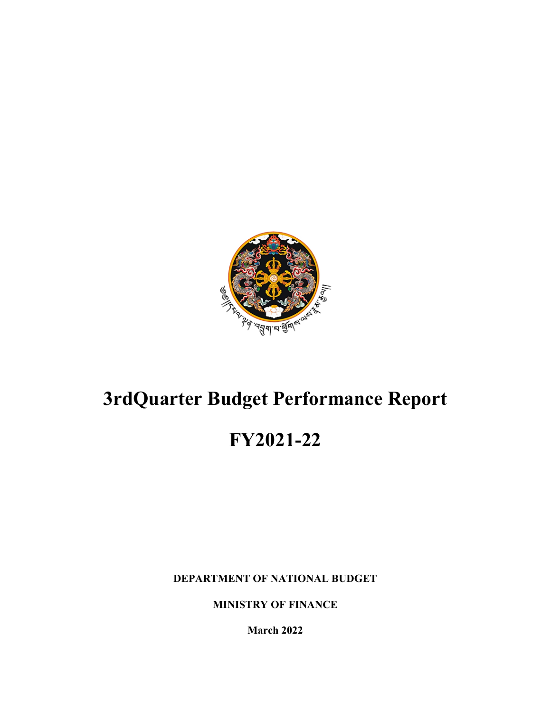

# **3rdQuarter Budget Performance Report**

# **FY2021-22**

**DEPARTMENT OF NATIONAL BUDGET**

**MINISTRY OF FINANCE**

**March 2022**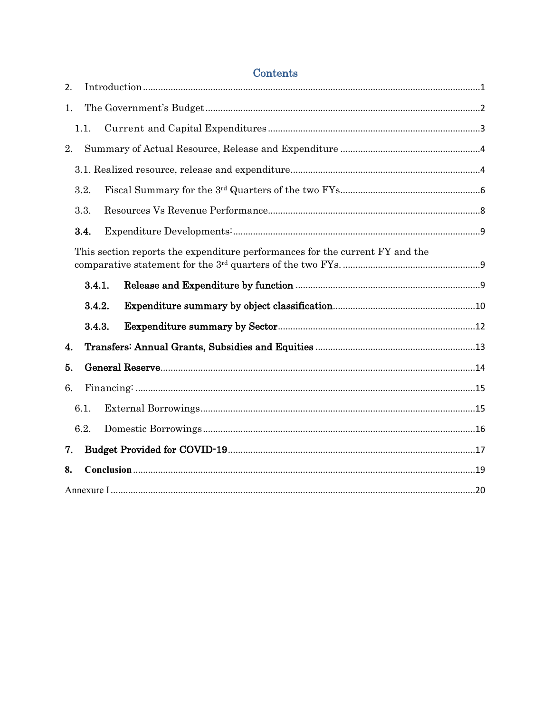| 2. |      |        |                                                                              |  |
|----|------|--------|------------------------------------------------------------------------------|--|
| 1. |      |        |                                                                              |  |
|    | 1.1. |        |                                                                              |  |
| 2. |      |        |                                                                              |  |
|    |      |        |                                                                              |  |
|    | 3.2. |        |                                                                              |  |
|    | 3.3. |        |                                                                              |  |
|    | 3.4. |        |                                                                              |  |
|    |      |        | This section reports the expenditure performances for the current FY and the |  |
|    |      | 3.4.1. |                                                                              |  |
|    |      | 3.4.2. |                                                                              |  |
|    |      | 3.4.3. |                                                                              |  |
| 4. |      |        |                                                                              |  |
| 5. |      |        |                                                                              |  |
| 6. |      |        |                                                                              |  |
|    | 6.1. |        |                                                                              |  |
|    | 6.2. |        |                                                                              |  |
| 7. |      |        |                                                                              |  |
| 8. |      |        |                                                                              |  |
|    |      |        |                                                                              |  |

# Contents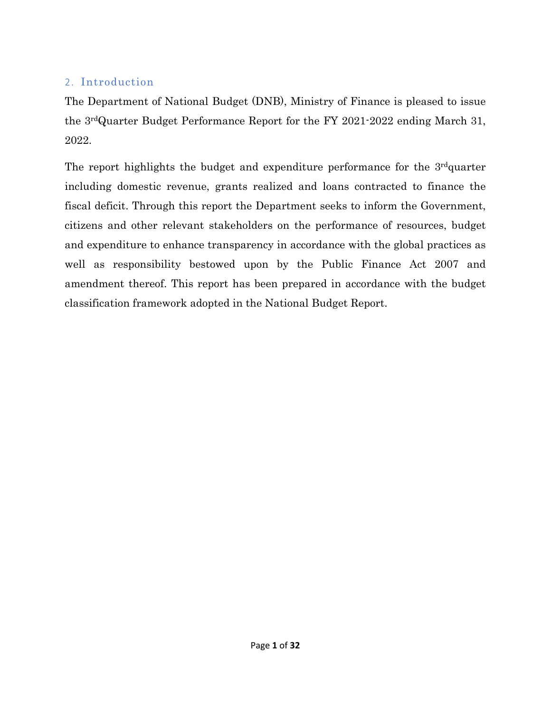# <span id="page-2-0"></span>2. Introduction

The Department of National Budget (DNB), Ministry of Finance is pleased to issue the 3rdQuarter Budget Performance Report for the FY 2021-2022 ending March 31, 2022.

The report highlights the budget and expenditure performance for the 3<sup>rd</sup>quarter including domestic revenue, grants realized and loans contracted to finance the fiscal deficit. Through this report the Department seeks to inform the Government, citizens and other relevant stakeholders on the performance of resources, budget and expenditure to enhance transparency in accordance with the global practices as well as responsibility bestowed upon by the Public Finance Act 2007 and amendment thereof. This report has been prepared in accordance with the budget classification framework adopted in the National Budget Report.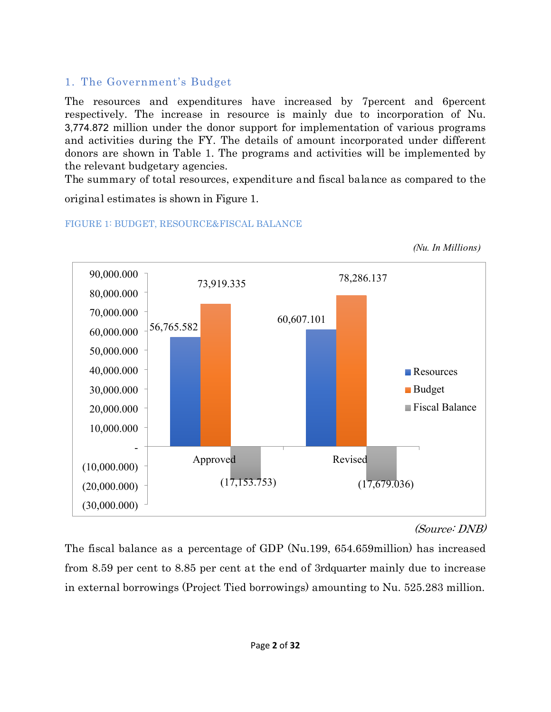# <span id="page-3-0"></span>1. The Government's Budget

The resources and expenditures have increased by 7percent and 6percent respectively. The increase in resource is mainly due to incorporation of Nu. 3,774.872 million under the donor support for implementation of various programs and activities during the FY. The details of amount incorporated under different donors are shown in Table 1. The programs and activities will be implemented by the relevant budgetary agencies.

The summary of total resources, expenditure and fiscal balance as compared to the

original estimates is shown in Figure 1.



FIGURE 1: BUDGET, RESOURCE&FISCAL BALANCE

# *(Source: DNB)*

*(Nu. In Millions)*

The fiscal balance as a percentage of GDP (Nu.199, 654.659million) has increased from 8.59 per cent to 8.85 per cent at the end of 3rdquarter mainly due to increase in external borrowings (Project Tied borrowings) amounting to Nu. 525.283 million.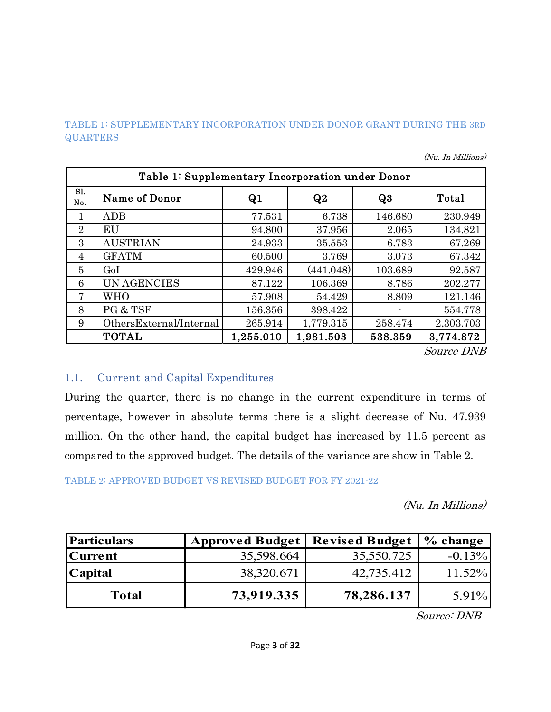#### TABLE 1: SUPPLEMENTARY INCORPORATION UNDER DONOR GRANT DURING THE 3RD **QUARTERS**

|  |  |  | (Nu. In Millions) |
|--|--|--|-------------------|
|--|--|--|-------------------|

|                | Table 1: Supplementary Incorporation under Donor |           |           |         |           |  |  |  |  |  |  |  |
|----------------|--------------------------------------------------|-----------|-----------|---------|-----------|--|--|--|--|--|--|--|
| Sl.<br>No.     | Name of Donor                                    | Q1        | Q2        | Q3      | Total     |  |  |  |  |  |  |  |
| 1              | ADB                                              | 77.531    | 6.738     | 146.680 | 230.949   |  |  |  |  |  |  |  |
| $\overline{2}$ | EU                                               | 94.800    | 37.956    | 2.065   | 134.821   |  |  |  |  |  |  |  |
| 3              | <b>AUSTRIAN</b>                                  | 24.933    | 35.553    | 6.783   | 67.269    |  |  |  |  |  |  |  |
| 4              | <b>GFATM</b>                                     | 60.500    | 3.769     | 3.073   | 67.342    |  |  |  |  |  |  |  |
| $\overline{5}$ | GoI                                              | 429.946   | (441.048) | 103.689 | 92.587    |  |  |  |  |  |  |  |
| 6              | <b>UN AGENCIES</b>                               | 87.122    | 106.369   | 8.786   | 202.277   |  |  |  |  |  |  |  |
| 7              | <b>WHO</b>                                       | 57.908    | 54.429    | 8.809   | 121.146   |  |  |  |  |  |  |  |
| 8              | PG & TSF                                         | 156.356   | 398.422   |         | 554.778   |  |  |  |  |  |  |  |
| 9              | OthersExternal/Internal                          | 265.914   | 1,779.315 | 258.474 | 2,303.703 |  |  |  |  |  |  |  |
|                | <b>TOTAL</b>                                     | 1,255.010 | 1,981.503 | 538.359 | 3,774.872 |  |  |  |  |  |  |  |

*Source DNB*

## <span id="page-4-0"></span>1.1. Current and Capital Expenditures

During the quarter, there is no change in the current expenditure in terms of percentage, however in absolute terms there is a slight decrease of Nu. 47.939 million. On the other hand, the capital budget has increased by 11.5 percent as compared to the approved budget. The details of the variance are show in Table 2.

TABLE 2: APPROVED BUDGET VS REVISED BUDGET FOR FY 2021-22

*(Nu. In Millions)*

| <b>Particulars</b> | Approved Budget   Revised Budget |            | % change |
|--------------------|----------------------------------|------------|----------|
| <b>Current</b>     | 35,598.664                       | 35,550.725 | $-0.13%$ |
| <b>Capital</b>     | 38,320.671                       | 42,735.412 | 11.52%   |
| <b>Total</b>       | 73,919.335                       | 78,286.137 | $5.91\%$ |

*Source: DNB*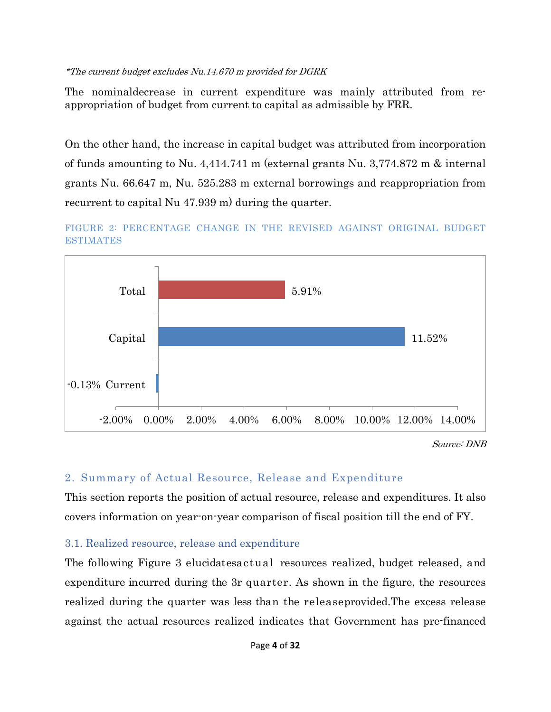#### *\*The current budget excludes Nu.14.670 m provided for DGRK*

The nominaldecrease in current expenditure was mainly attributed from reappropriation of budget from current to capital as admissible by FRR.

On the other hand, the increase in capital budget was attributed from incorporation of funds amounting to Nu. 4,414.741 m (external grants Nu. 3,774.872 m & internal grants Nu. 66.647 m, Nu. 525.283 m external borrowings and reappropriation from recurrent to capital Nu 47.939 m) during the quarter.





*Source: DNB*

# <span id="page-5-0"></span>2. Summary of Actual Resource, Release and Expenditure

This section reports the position of actual resource, release and expenditures. It also covers information on year-on-year comparison of fiscal position till the end of FY.

## <span id="page-5-1"></span>3.1. Realized resource, release and expenditure

The following Figure 3 elucidatesactual resources realized, budget released, and expenditure incurred during the 3r quarter. As shown in the figure, the resources realized during the quarter was less than the releaseprovided.The excess release against the actual resources realized indicates that Government has pre-financed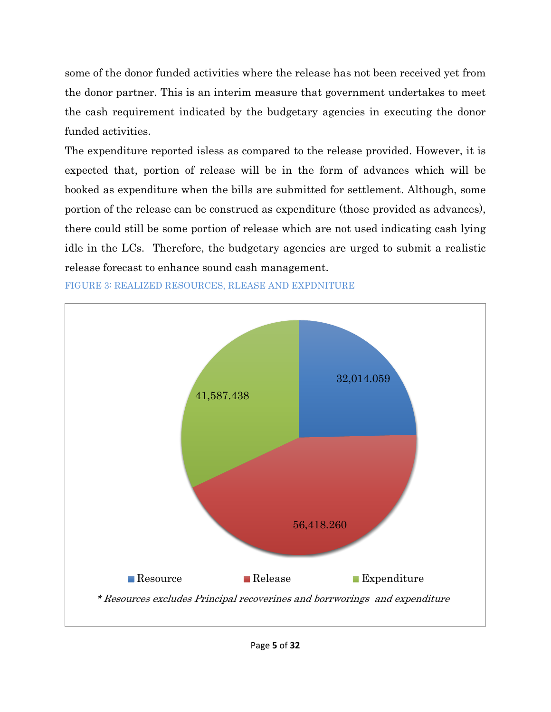some of the donor funded activities where the release has not been received yet from the donor partner. This is an interim measure that government undertakes to meet the cash requirement indicated by the budgetary agencies in executing the donor funded activities.

The expenditure reported isless as compared to the release provided. However, it is expected that, portion of release will be in the form of advances which will be booked as expenditure when the bills are submitted for settlement. Although, some portion of the release can be construed as expenditure (those provided as advances), there could still be some portion of release which are not used indicating cash lying idle in the LCs. Therefore, the budgetary agencies are urged to submit a realistic release forecast to enhance sound cash management.



FIGURE 3: REALIZED RESOURCES, RLEASE AND EXPDNITURE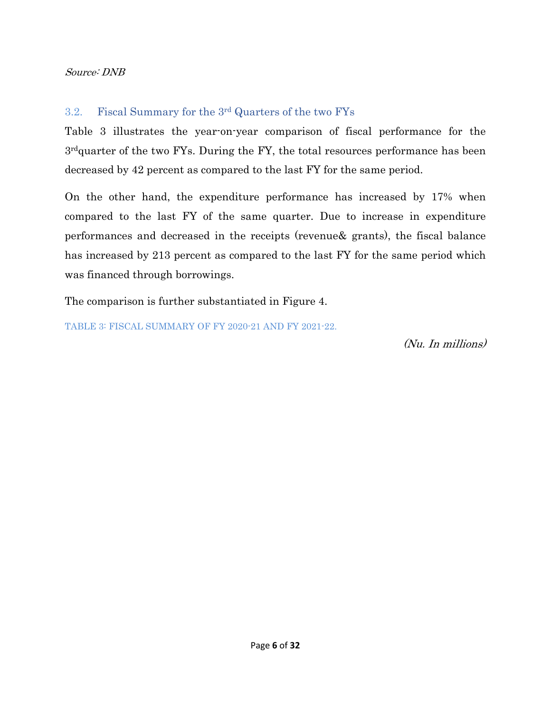#### *Source: DNB*

## <span id="page-7-0"></span>3.2. Fiscal Summary for the 3rd Quarters of the two FYs

Table 3 illustrates the year-on-year comparison of fiscal performance for the 3 rdquarter of the two FYs. During the FY, the total resources performance has been decreased by 42 percent as compared to the last FY for the same period.

On the other hand, the expenditure performance has increased by 17% when compared to the last FY of the same quarter. Due to increase in expenditure performances and decreased in the receipts (revenue& grants), the fiscal balance has increased by 213 percent as compared to the last FY for the same period which was financed through borrowings.

The comparison is further substantiated in Figure 4.

TABLE 3: FISCAL SUMMARY OF FY 2020-21 AND FY 2021-22.

*(Nu. In millions)*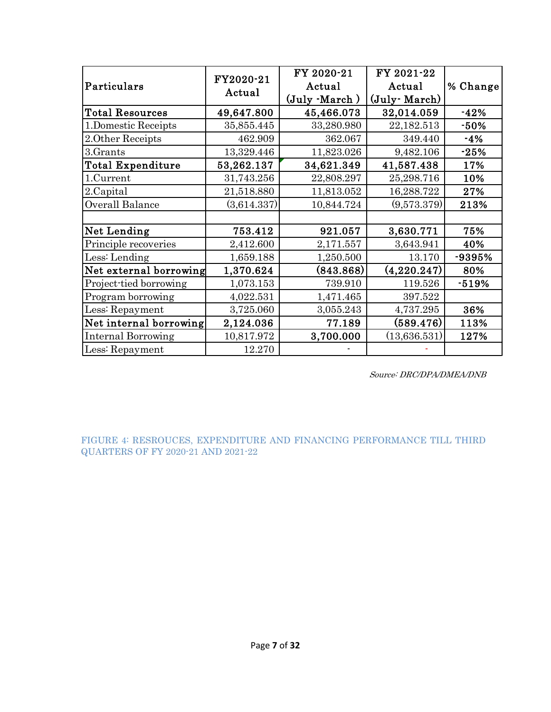| Particulars               | FY2020-21<br>Actual | FY 2020-21<br>Actual<br>(July -March) | FY 2021-22<br>Actual<br>(July March) | % Change |
|---------------------------|---------------------|---------------------------------------|--------------------------------------|----------|
| <b>Total Resources</b>    | 49,647.800          | 45,466.073                            | 32,014.059                           | $-42%$   |
| 1.Domestic Receipts       | 35,855.445          | 33,280.980                            | 22,182.513                           | $-50%$   |
| 2. Other Receipts         | 462.909             | 362.067                               | 349.440                              | $-4%$    |
| 3.Grants                  | 13,329.446          | 11,823.026                            | 9,482.106                            | $-25%$   |
| <b>Total Expenditure</b>  | 53,262.137          | 34,621.349                            | 41,587.438                           | 17%      |
| 1.Current                 | 31,743.256          | 22,808.297                            | 25,298.716                           | 10%      |
| 2.Capital                 | 21,518.880          | 11,813.052                            | 16,288.722                           | 27%      |
| Overall Balance           | (3,614.337)         | 10,844.724                            | (9,573.379)                          | 213%     |
|                           |                     |                                       |                                      |          |
| Net Lending               | 753.412             | 921.057                               | 3,630.771                            | 75%      |
| Principle recoveries      | 2,412.600           | 2,171.557                             | 3,643.941                            | 40%      |
| Less: Lending             | 1,659.188           | 1,250.500                             | 13.170                               | -9395%   |
| Net external borrowing    | 1,370.624           | $\left( 843.868\right)$               | (4,220.247)                          | 80%      |
| Project-tied borrowing    | 1,073.153           | 739.910                               | 119.526                              | $-519%$  |
| Program borrowing         | 4,022.531           | 1,471.465                             | 397.522                              |          |
| Less: Repayment           | 3,725.060           | 3,055.243                             | 4,737.295                            | 36%      |
| Net internal borrowing    | 2,124.036           | 77.189                                | (589.476)                            | 113%     |
| <b>Internal Borrowing</b> | 10,817.972          | 3,700.000                             | (13,636.531)                         | 127%     |
| Less: Repayment           | 12.270              |                                       |                                      |          |

*Source: DRC/DPA/DMEA/DNB*

FIGURE 4: RESROUCES, EXPENDITURE AND FINANCING PERFORMANCE TILL THIRD QUARTERS OF FY 2020-21 AND 2021-22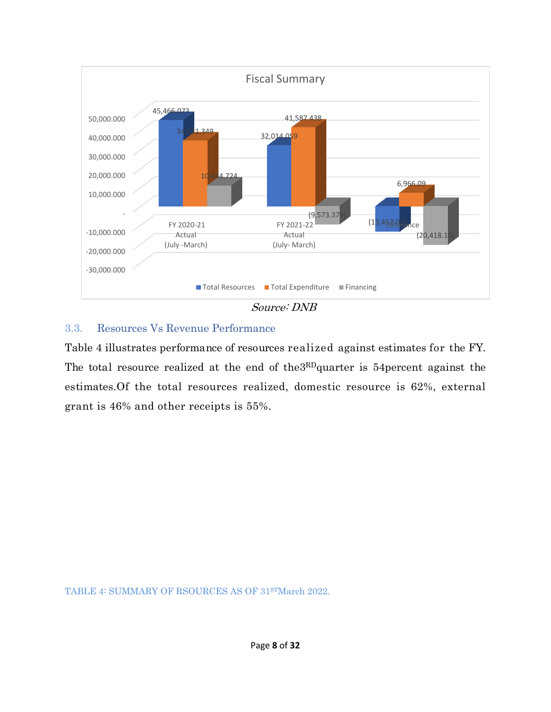

## <span id="page-9-0"></span>3.3. Resources Vs Revenue Performance

Table 4 illustrates performance of resources realized against estimates for the FY. The total resource realized at the end of the3RDquarter is 54percent against the estimates.Of the total resources realized, domestic resource is 62%, external grant is 46% and other receipts is 55%.

TABLE 4: SUMMARY OF RSOURCES AS OF 31STMarch 2022.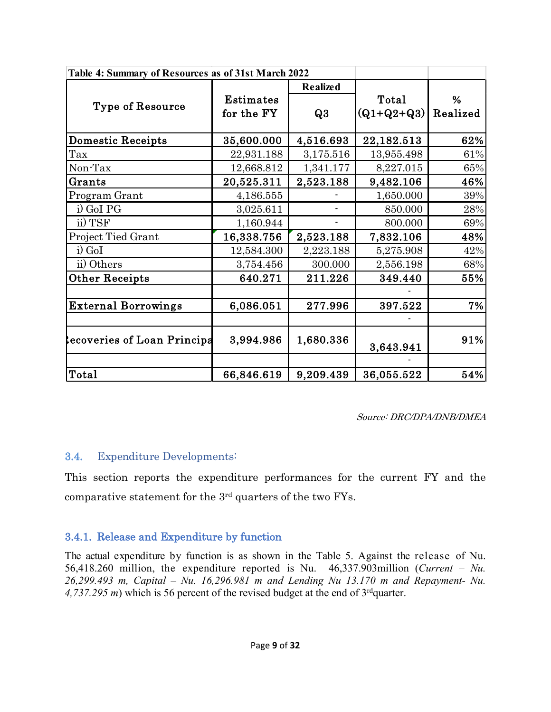| Table 4: Summary of Resources as of 31st March 2022 |                  |                 |              |          |
|-----------------------------------------------------|------------------|-----------------|--------------|----------|
|                                                     |                  | <b>Realized</b> |              |          |
|                                                     | <b>Estimates</b> |                 | Total        | %        |
| <b>Type of Resource</b>                             | for the FY       | Q3              | $(Q1+Q2+Q3)$ | Realized |
| <b>Domestic Receipts</b>                            | 35,600.000       | 4,516.693       | 22,182.513   | 62%      |
| Tax                                                 | 22,931.188       | 3,175.516       | 13,955.498   | 61%      |
| Non-Tax                                             | 12,668.812       | 1,341.177       | 8,227.015    | 65%      |
| Grants                                              | 20,525.311       | 2,523.188       | 9,482.106    | 46%      |
| Program Grant                                       | 4,186.555        |                 | 1,650.000    | 39%      |
| i) GoI PG                                           | 3,025.611        |                 | 850.000      | 28%      |
| ii) TSF                                             | 1,160.944        |                 | 800.000      | 69%      |
| <b>Project Tied Grant</b>                           | 16,338.756       | 2,523.188       | 7,832.106    | 48%      |
| i) GoI                                              | 12,584.300       | 2,223.188       | 5,275.908    | 42%      |
| ii) Others                                          | 3,754.456        | 300.000         | 2,556.198    | 68%      |
| <b>Other Receipts</b>                               | 640.271          | 211.226         | 349.440      | 55%      |
|                                                     |                  |                 |              |          |
| <b>External Borrowings</b>                          | 6,086.051        | 277.996         | 397.522      | 7%       |
|                                                     |                  |                 |              |          |
| ecoveries of Loan Principa                          | 3,994.986        | 1,680.336       | 3,643.941    | 91%      |
|                                                     |                  |                 |              |          |
| Total                                               | 66,846.619       | 9,209.439       | 36,055.522   | 54%      |

*Source: DRC/DPA/DNB/DMEA*

# <span id="page-10-0"></span>**3.4.** Expenditure Developments:

<span id="page-10-1"></span>This section reports the expenditure performances for the current FY and the comparative statement for the 3rd quarters of the two FYs.

# <span id="page-10-2"></span>**3.4.1. Release and Expenditure by function**

The actual expenditure by function is as shown in the Table 5. Against the release of Nu. 56,418.260 million, the expenditure reported is Nu. 46,337.903million (*Current – Nu. 26,299.493 m, Capital – Nu. 16,296.981 m and Lending Nu 13.170 m and Repayment- Nu. 4,737.295 m*) which is 56 percent of the revised budget at the end of 3rdquarter.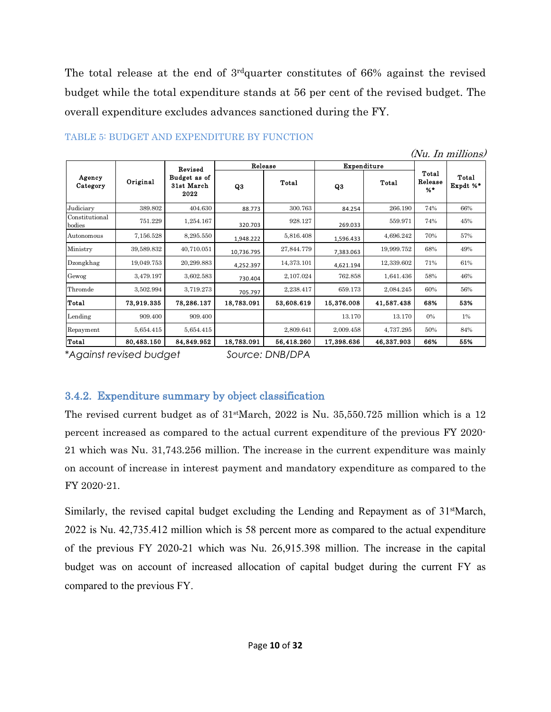The total release at the end of 3<sup>rd</sup>quarter constitutes of 66% against the revised budget while the total expenditure stands at 56 per cent of the revised budget. The overall expenditure excludes advances sanctioned during the FY.

|                          |            |                                    |            |            |             |            |                           | (Nu. In millions) |
|--------------------------|------------|------------------------------------|------------|------------|-------------|------------|---------------------------|-------------------|
|                          |            | Revised                            | Release    |            | Expenditure |            |                           |                   |
| Agency<br>Category       | Original   | Budget as of<br>31st March<br>2022 | Q3         | Total      | Q3          | Total      | Total<br>Release<br>$%$ * | Total<br>Expdt %* |
| Judiciary                | 389.802    | 404.630                            | 88.773     | 300.763    | 84.254      | 266.190    | 74%                       | 66%               |
| Constitutional<br>bodies | 751.229    | 1,254.167                          | 320.703    | 928.127    | 269.033     | 559.971    | 74%                       | 45%               |
| Autonomous               | 7,156.528  | 8,295.550                          | 1,948.222  | 5,816.408  | 1,596.433   | 4,696.242  | 70%                       | 57%               |
| Ministry                 | 39,589.832 | 40,710.051                         | 10,736.795 | 27,844.779 | 7,383.063   | 19,999.752 | 68%                       | 49%               |
| Dzongkhag                | 19,049.753 | 20,299.883                         | 4,252.397  | 14,373.101 | 4,621.194   | 12,339.602 | 71%                       | 61%               |
| Gewog                    | 3,479.197  | 3,602.583                          | 730.404    | 2,107.024  | 762.858     | 1,641.436  | 58%                       | 46%               |
| Thromde                  | 3,502.994  | 3,719.273                          | 705.797    | 2,238.417  | 659.173     | 2,084.245  | 60%                       | 56%               |
| Total                    | 73,919.335 | 78,286.137                         | 18,783.091 | 53,608.619 | 15,376.008  | 41,587.438 | 68%                       | 53%               |
| Lending                  | 909.400    | 909.400                            |            |            | 13.170      | 13.170     | 0%                        | $1\%$             |
| Repayment                | 5,654.415  | 5,654.415                          |            | 2,809.641  | 2,009.458   | 4,737.295  | 50%                       | 84%               |
| Total                    | 80,483.150 | 84,849.952                         | 18,783.091 | 56,418.260 | 17,398.636  | 46,337.903 | 66%                       | 55%               |

#### TABLE 5: BUDGET AND EXPENDITURE BY FUNCTION

*\*Against revised budget Source: DNB/DPA*

# <span id="page-11-0"></span>**3.4.2. Expenditure summary by object classification**

The revised current budget as of  $31$ <sup>st</sup>March, 2022 is Nu. 35,550.725 million which is a 12 percent increased as compared to the actual current expenditure of the previous FY 2020- 21 which was Nu. 31,743.256 million. The increase in the current expenditure was mainly on account of increase in interest payment and mandatory expenditure as compared to the FY 2020-21.

Similarly, the revised capital budget excluding the Lending and Repayment as of 31<sup>st</sup>March, 2022 is Nu. 42,735.412 million which is 58 percent more as compared to the actual expenditure of the previous FY 2020-21 which was Nu. 26,915.398 million. The increase in the capital budget was on account of increased allocation of capital budget during the current FY as compared to the previous FY.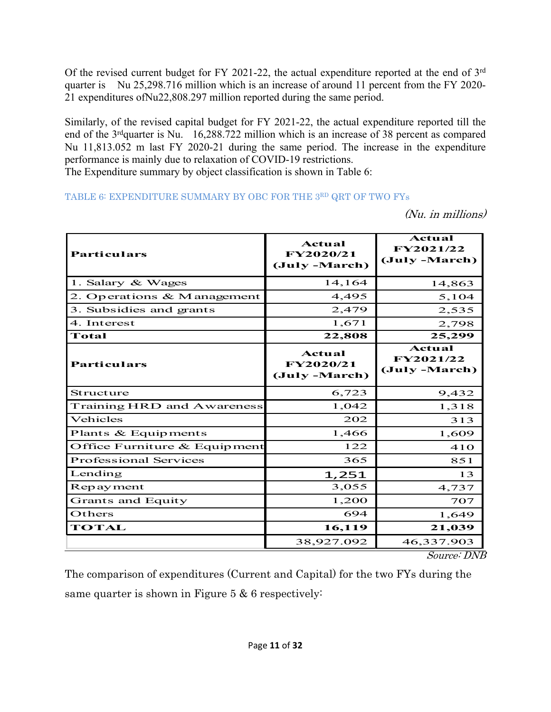Of the revised current budget for FY 2021-22, the actual expenditure reported at the end of 3rd quarter is Nu 25,298.716 million which is an increase of around 11 percent from the FY 2020- 21 expenditures ofNu22,808.297 million reported during the same period.

Similarly, of the revised capital budget for FY 2021-22, the actual expenditure reported till the end of the 3<sup>rd</sup>quarter is Nu. 16,288.722 million which is an increase of 38 percent as compared Nu 11,813.052 m last FY 2020-21 during the same period. The increase in the expenditure performance is mainly due to relaxation of COVID-19 restrictions.

The Expenditure summary by object classification is shown in Table 6:

TABLE 6: EXPENDITURE SUMMARY BY OBC FOR THE 3RD QRT OF TWO FYs

*(Nu. in millions)*

| <b>Particulars</b>             | Actual<br>FY2020/21<br>(July -March) | Actual<br>FY2021/22<br>(July -March) |
|--------------------------------|--------------------------------------|--------------------------------------|
| 1. Salary & Wages              | 14,164                               | 14,863                               |
| 2. Operations & M anagement    | 4,495                                | 5,104                                |
| 3. Subsidies and grants        | 2,479                                | 2,535                                |
| 4. Interest                    | 1,671                                | 2,798                                |
| Total                          | 22,808                               | 25,299                               |
| <b>Particulars</b>             | Actual<br>FY2020/21<br>(July -March) | Actual<br>FY2021/22<br>(July -March) |
| Structure                      | 6,723                                | 9,432                                |
| Training HRD and Awareness     | 1,042                                | 1,318                                |
| Vehicles                       | 202                                  | 313                                  |
| Plants & Equipments            | 1,466                                | 1,609                                |
| Office Furniture $&$ Equipment | 122                                  | 410                                  |
| <b>Professional Services</b>   | 365                                  | 851                                  |
| Lending                        | 1,251                                | 13                                   |
| Repayment                      | 3,055                                | 4,737                                |
| <b>Grants and Equity</b>       | 1,200                                | 707                                  |
| Others                         | 694                                  | 1,649                                |
| <b>TOTAL</b>                   | 16,119                               | 21,039                               |
|                                | 38,927.092                           | 46,337.903                           |

*Source: DNB*

The comparison of expenditures (Current and Capital) for the two FYs during the same quarter is shown in Figure 5 & 6 respectively: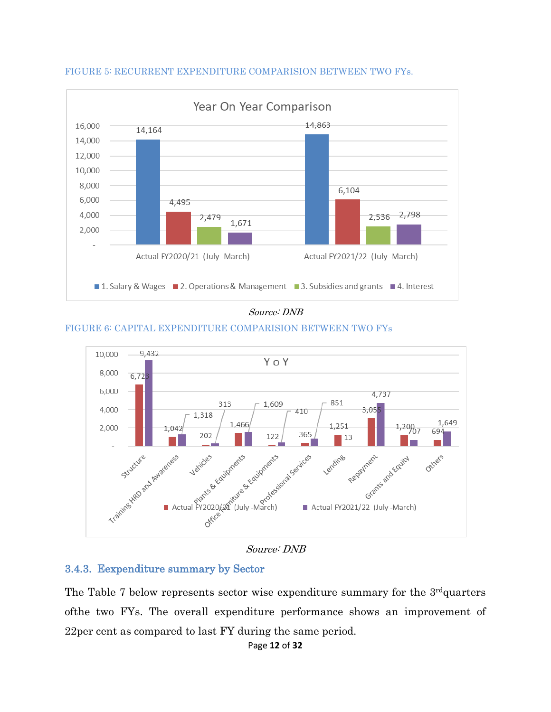

#### FIGURE 5: RECURRENT EXPENDITURE COMPARISION BETWEEN TWO FYs.

#### *Source: DNB*

#### FIGURE 6: CAPITAL EXPENDITURE COMPARISION BETWEEN TWO FYs



## <span id="page-13-0"></span>**3.4.3. Eexpenditure summary by Sector**

The Table 7 below represents sector wise expenditure summary for the  $3<sup>rd</sup>$ quarters ofthe two FYs. The overall expenditure performance shows an improvement of 22per cent as compared to last FY during the same period.

Page **12** of **32**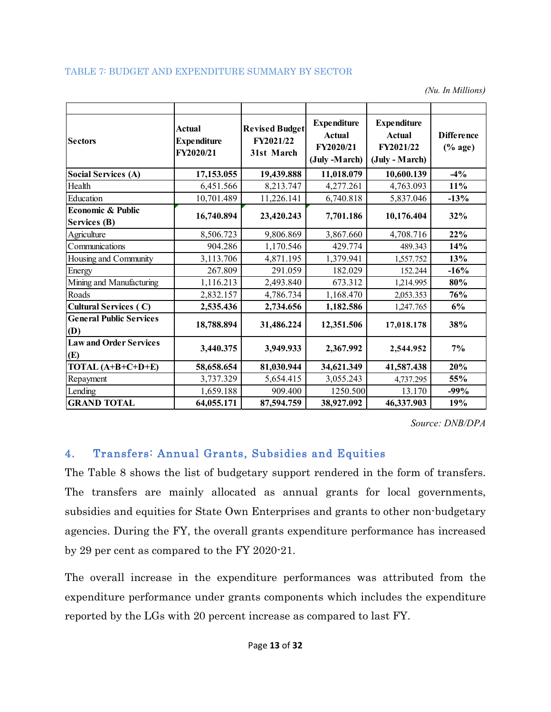*(Nu. In Millions)*

| <b>Sectors</b>                               | <b>Expenditure</b><br><b>Revised Budget</b><br><b>Actual</b><br><b>Actual</b><br>FY2021/22<br><b>Expenditure</b><br>FY2020/21<br>FY2020/21<br>31st March<br>(July -March) |            | <b>Expenditure</b><br><b>Actual</b><br>FY2021/22<br>(July - March) | <b>Difference</b><br>$(% \mathbf{A}\otimes \mathbf{A})$ (% age) |        |
|----------------------------------------------|---------------------------------------------------------------------------------------------------------------------------------------------------------------------------|------------|--------------------------------------------------------------------|-----------------------------------------------------------------|--------|
| <b>Social Services (A)</b>                   | 17,153.055                                                                                                                                                                | 19,439.888 | 11,018.079                                                         | 10,600.139                                                      | $-4%$  |
| Health                                       | 6,451.566                                                                                                                                                                 | 8,213.747  | 4,277.261                                                          | 4,763.093                                                       | 11%    |
| Education                                    | 10,701.489                                                                                                                                                                | 11,226.141 | 6,740.818                                                          | 5,837.046                                                       | $-13%$ |
| Economic & Public<br><b>Services (B)</b>     | 16,740.894                                                                                                                                                                | 23,420.243 | 7,701.186                                                          | 10,176.404                                                      | 32%    |
| Agriculture                                  | 8,506.723                                                                                                                                                                 | 9,806.869  | 3,867.660                                                          | 4,708.716                                                       | 22%    |
| Communications                               | 904.286                                                                                                                                                                   | 1,170.546  | 429.774                                                            | 489.343                                                         | 14%    |
| Housing and Community                        | 3,113.706                                                                                                                                                                 | 4,871.195  | 1,379.941                                                          | 1,557.752                                                       | 13%    |
| Energy                                       | 267.809                                                                                                                                                                   | 291.059    | 182.029                                                            | 152.244                                                         | $-16%$ |
| Mining and Manufacturing                     | 1,116.213                                                                                                                                                                 | 2,493.840  | 673.312                                                            | 1,214.995                                                       | 80%    |
| Roads                                        | 2,832.157                                                                                                                                                                 | 4,786.734  | 1,168.470                                                          | 2,053.353                                                       | 76%    |
| <b>Cultural Services (C)</b>                 | 2,535.436                                                                                                                                                                 | 2,734.656  | 1,182.586                                                          | 1,247.765                                                       | 6%     |
| <b>General Public Services</b><br><b>(D)</b> | 18,788.894                                                                                                                                                                | 31,486.224 | 12,351.506                                                         | 17,018.178                                                      | 38%    |
| <b>Law and Order Services</b><br><b>(E)</b>  | 3,440.375                                                                                                                                                                 | 3,949.933  | 2,367.992                                                          | 2,544.952                                                       | 7%     |
| TOTAL $(A+B+C+D+E)$                          | 58,658.654                                                                                                                                                                | 81,030.944 | 34,621.349                                                         | 41,587.438                                                      | 20%    |
| Repayment                                    | 3,737.329                                                                                                                                                                 | 5,654.415  | 3,055.243                                                          | 4,737.295                                                       | 55%    |
| Lending                                      | 1,659.188                                                                                                                                                                 | 909.400    | 1250.500                                                           | 13.170                                                          | $-99%$ |
| <b>GRAND TOTAL</b>                           | 64,055.171                                                                                                                                                                | 87,594.759 | 38,927.092                                                         | 46,337.903                                                      | 19%    |

*Source: DNB/DPA*

# <span id="page-14-0"></span>**4. Transfers: Annual Grants, Subsidies and Equities**

The Table 8 shows the list of budgetary support rendered in the form of transfers. The transfers are mainly allocated as annual grants for local governments, subsidies and equities for State Own Enterprises and grants to other non-budgetary agencies. During the FY, the overall grants expenditure performance has increased by 29 per cent as compared to the FY 2020-21.

The overall increase in the expenditure performances was attributed from the expenditure performance under grants components which includes the expenditure reported by the LGs with 20 percent increase as compared to last FY.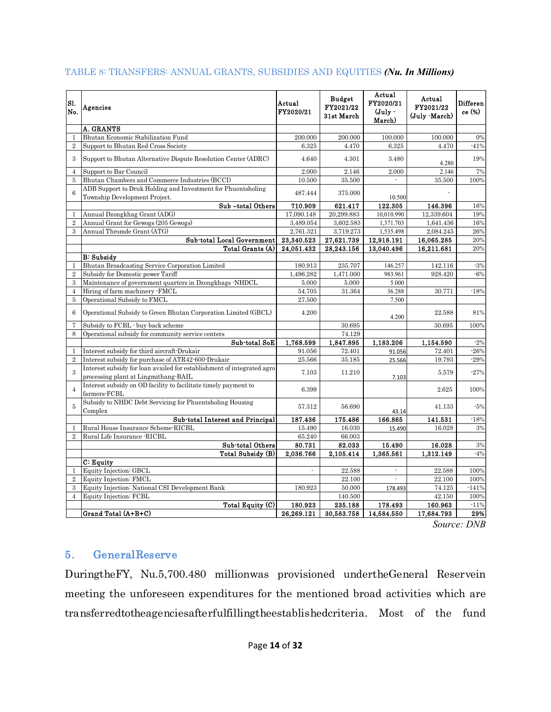| Sl.<br>No.     | Agencies                                                                                                       | Actual<br>FY2020/21 | <b>Budget</b><br>FY2021/22<br>31st March | Actual<br>FY2020/21<br>$(July -$<br>March) | Actual<br>FY2021/22<br>(July March) | Differen<br>ce (%) |
|----------------|----------------------------------------------------------------------------------------------------------------|---------------------|------------------------------------------|--------------------------------------------|-------------------------------------|--------------------|
|                | <b>A. GRANTS</b>                                                                                               |                     |                                          |                                            |                                     |                    |
| 1              | Bhutan Economic Stabilization Fund                                                                             | 200.000             | 200.000                                  | 100.000                                    | 100.000                             | 0%                 |
| $\overline{2}$ | Support to Bhutan Red Cross Society                                                                            | 6.325               | 4.470                                    | 6.325                                      | 4.470                               | $-41%$             |
| 3              | Support to Bhutan Alternative Dispute Resolution Center (ADRC)                                                 | 4.640               | 4.301                                    | 3.480                                      | 4.280                               | 19%                |
| $\overline{4}$ | Support to Bar Council                                                                                         | 2.000               | 2.146                                    | 2.000                                      | 2.146                               | 7%                 |
| $\overline{5}$ | Bhutan Chambers and Commerce Industries (BCCI)                                                                 | 10.500              | 35.500                                   |                                            | 35.500                              | 100%               |
| 6              | ADB Support to Druk Holding and Investment for Phuentsholing<br>Township Development Project.                  | 487.444             | 375,000                                  | 10.500                                     |                                     |                    |
|                | Sub-total Others                                                                                               | 710.909             | 621.417                                  | 122.305                                    | 146.396                             | 16%                |
| $\mathbf{1}$   | Annual Dzongkhag Grant (ADG)                                                                                   | 17.090.148          | 20.299.883                               | 10,010.990                                 | 12.339.604                          | 19%                |
| $\overline{2}$ | Annual Grant for Gewogs (205 Gewogs)                                                                           | 3,489.054           | 3,602.583                                | 1,371.703                                  | 1,641.436                           | 16%                |
| $\mathcal{S}$  | Annual Thromde Grant (ATG)                                                                                     | 2,761.321           | 3,719.273                                | 1,535.498                                  | 2,084.245                           | 26%                |
|                | Sub-total Local Government                                                                                     | 23,340.523          | 27,621.739                               | 12,918.191                                 | 16,065.285                          | 20%                |
|                | Total Grants (A)                                                                                               | 24,051.432          | 28,243.156                               | 13,040.496                                 | 16,211.681                          | 20%                |
|                | <b>B: Subsidv</b>                                                                                              |                     |                                          |                                            |                                     |                    |
| $\mathbf{1}$   | Bhutan Broadcasting Service Corporation Limited                                                                | 180.913             | 235.707                                  | 146.257                                    | 142.116                             | $-3%$              |
| $\overline{2}$ | Subsidy for Domestic power Tariff                                                                              | 1,496.282           | 1,471.000                                | 983.961                                    | 928.420                             | $-6%$              |
| 3              | Maintenance of government quarters in Dzongkhags -NHDCL                                                        | 5.000               | 5.000                                    | 5.000                                      |                                     |                    |
| $\overline{4}$ | Hiring of farm machinery -FMCL                                                                                 | 54.705              | 31.364                                   | 36.288                                     | 30.771                              | $-18%$             |
| 5              | Operational Subsidy to FMCL                                                                                    | 27.500              |                                          | 7.500                                      |                                     |                    |
| 6              | Operational Subsidy to Green Bhutan Corporation Limited (GBCL)                                                 | 4.200               |                                          | 4.200                                      | 22.588                              | 81%                |
| $\overline{7}$ | Subsidy to FCBL - buy back scheme                                                                              |                     | 30.695                                   |                                            | 30.695                              | 100%               |
| 8              | Operational subsidy for community service centers                                                              |                     | 74.129                                   |                                            |                                     |                    |
|                | Sub-total SoE                                                                                                  | 1,768.599           | 1,847.895                                | 1,183.206                                  | 1,154.590                           | $-2%$              |
| $\mathbf{1}$   | Interest subsidy for third aircraft-Drukair                                                                    | 91.056              | 72.401                                   | 91.056                                     | 72.401                              | $-26%$             |
| $\overline{2}$ | Interest subsidy for purchase of ATR42-600-Drukair                                                             | 25.566              | 35.185                                   | 25.566                                     | 19.793                              | $-29%$             |
| $\mathbf{3}$   | Interest subsidy for loan availed for establishment of integrated agro<br>processing plant at Lingmithang-BAIL | 7.103               | 11.210                                   | 7.103                                      | 5.579                               | $-27%$             |
| $\overline{4}$ | Interest subsidy on OD facility to facilitate timely payment to<br>farmers-FCBL                                | 6.399               |                                          |                                            | 2.625                               | 100%               |
| 5              | Subsidy to NHDC Debt Servicing for Phuentsholing Housing<br>Complex                                            | 57.312              | 56.690                                   | 43.14                                      | 41.133                              | $-5%$              |
|                | Sub-total Interest and Principal                                                                               | 187.436             | 175.486                                  | 166.865                                    | 141.531                             | $-18%$             |
| 1              | Rural House Insurance Scheme-RICBL                                                                             | 15.490              | 16.030                                   | 15.490                                     | 16.028                              | 3%                 |
| $\overline{2}$ | Rural Life Insurance -RICBL                                                                                    | 65.240              | 66.003                                   |                                            |                                     |                    |
|                | Sub-total Others                                                                                               | 80.731              | 82.033                                   | 15.490                                     | 16.028                              | 3%                 |
|                | <b>Total Subsidy (B)</b>                                                                                       | 2,036.766           | 2,105.414                                | 1,365.561                                  | 1,312.149                           | $-4%$              |
|                | C: Equity                                                                                                      |                     |                                          |                                            |                                     |                    |
| $\mathbf{1}$   | Equity Injection: GBCL                                                                                         | $\overline{a}$      | 22.588                                   | ÷                                          | 22.588                              | 100%               |
| $\overline{2}$ | Equity Injection: FMCL                                                                                         |                     | 22.100                                   |                                            | 22.100                              | 100%               |
| $\mathcal{S}$  | Equity Injection: National CSI Development Bank                                                                | 180.923             | 50.000                                   | 178.493                                    | 74.125                              | $-141%$            |
| $\overline{4}$ | Equity Injection: FCBL                                                                                         |                     | 140.500                                  |                                            | 42.150                              | 100%               |
|                | Total Equity (C)                                                                                               | 180.923             | 235.188                                  | 178.493                                    | 160.963                             | $-11%$             |
|                | Grand Total (A+B+C)                                                                                            | 26,269.121          | 30,583.758                               | 14,584.550                                 | 17,684.793                          | 29%                |

#### TABLE 8: TRANSFERS: ANNUAL GRANTS, SUBSIDIES AND EQUITIES *(Nu. In Millions)*

*Source: DNB*

## <span id="page-15-0"></span>**5. GeneralReserve**

DuringtheFY, Nu.5,700.480 millionwas provisioned undertheGeneral Reservein meeting the unforeseen expenditures for the mentioned broad activities which are transferredtotheagenciesafterfulfillingtheestablishedcriteria. Most of the fund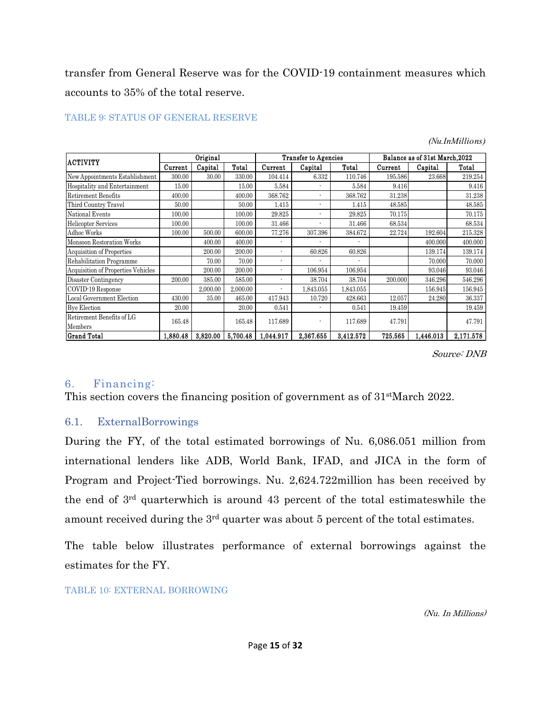transfer from General Reserve was for the COVID-19 containment measures which accounts to 35% of the total reserve.

| <b>ACTIVITY</b>                    | Original |          |          | <b>Transfer to Agencies</b> |           |           | Balance as of 31st March, 2022 |           |           |
|------------------------------------|----------|----------|----------|-----------------------------|-----------|-----------|--------------------------------|-----------|-----------|
|                                    | Current  | Capital  | Total    | Current                     | Capital   | Total     | Current                        | Capital   | Total     |
| New Appointments Establishment     | 300.00   | 30.00    | 330.00   | 104.414                     | 6.332     | 110.746   | 195.586                        | 23.668    | 219.254   |
| Hospitality and Entertainment      | 15.00    |          | 15.00    | 5.584                       |           | 5.584     | 9.416                          |           | 9.416     |
| <b>Retirement Benefits</b>         | 400.00   |          | 400.00   | 368.762                     |           | 368.762   | 31.238                         |           | 31.238    |
| Third Country Travel               | 50.00    |          | 50.00    | 1.415                       |           | 1.415     | 48.585                         |           | 48.585    |
| National Events                    | 100.00   |          | 100.00   | 29.825                      | ٠         | 29.825    | 70.175                         |           | 70.175    |
| <b>Helicopter Services</b>         | 100.00   |          | 100.00   | 31.466                      |           | 31.466    | 68.534                         |           | 68.534    |
| <b>Adhoc Works</b>                 | 100.00   | 500.00   | 600.00   | 77.276                      | 307.396   | 384.672   | 22.724                         | 192.604   | 215.328   |
| Monsoon Restoration Works          |          | 400.00   | 400.00   |                             | ٠         |           |                                | 400.000   | 400.000   |
| <b>Acquisition of Properties</b>   |          | 200.00   | 200.00   |                             | 60.826    | 60.826    |                                | 139.174   | 139.174   |
| Rehabilitation Programme           |          | 70.00    | 70.00    |                             |           |           |                                | 70.000    | 70.000    |
| Acquisition of Properties Vehicles |          | 200.00   | 200.00   |                             | 106.954   | 106.954   |                                | 93.046    | 93.046    |
| Disaster Contingency               | 200.00   | 385.00   | 585.00   |                             | 38.704    | 38.704    | 200.000                        | 346.296   | 546.296   |
| COVID-19 Response                  |          | 2,000.00 | 2,000.00 |                             | 1,843.055 | 1,843.055 |                                | 156.945   | 156.945   |
| Local Government Election          | 430.00   | 35.00    | 465.00   | 417.943                     | 10.720    | 428.663   | 12.057                         | 24.280    | 36.337    |
| <b>Bye Election</b>                | 20.00    |          | 20.00    | 0.541                       |           | 0.541     | 19.459                         |           | 19.459    |
| Retirement Benefits of LG          | 165.48   |          | 165.48   |                             |           | 117.689   |                                |           | 47.791    |
| Members                            |          |          |          | 117.689                     |           |           | 47.791                         |           |           |
| <b>Grand Total</b>                 | 1,880.48 | 3,820.00 | 5,700.48 | 1.044.917                   | 2,367.655 | 3,412.572 | 725.565                        | 1,446.013 | 2,171.578 |

#### TABLE 9: STATUS OF GENERAL RESERVE

*(Nu.InMillions)*

*Source: DNB*

## <span id="page-16-0"></span>6. Financing:

This section covers the financing position of government as of  $31$ <sup>st</sup>March 2022.

#### <span id="page-16-1"></span>6.1. ExternalBorrowings

During the FY, of the total estimated borrowings of Nu. 6,086.051 million from international lenders like ADB, World Bank, IFAD, and JICA in the form of Program and Project-Tied borrowings. Nu. 2,624.722million has been received by the end of 3rd quarterwhich is around 43 percent of the total estimateswhile the amount received during the 3rd quarter was about 5 percent of the total estimates.

The table below illustrates performance of external borrowings against the estimates for the FY.

#### TABLE 10: EXTERNAL BORROWING

*(Nu. In Millions)*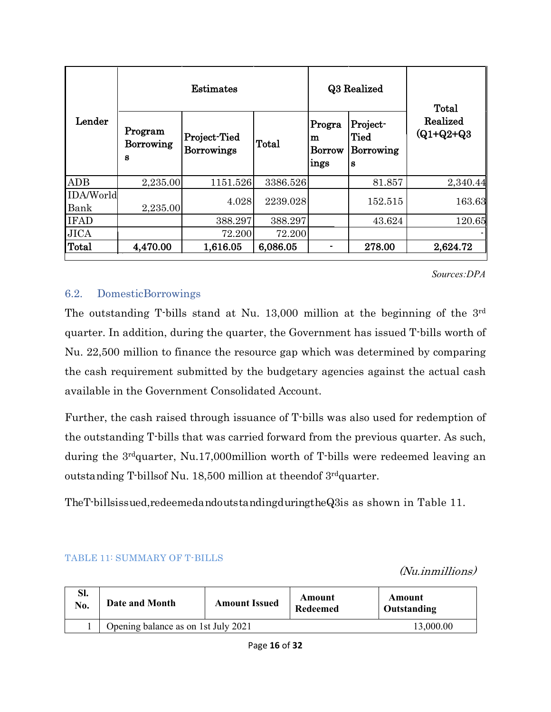|                   |                                  | <b>Estimates</b>                  |          |                                      | Q3 Realized                                      | Total                    |
|-------------------|----------------------------------|-----------------------------------|----------|--------------------------------------|--------------------------------------------------|--------------------------|
| Lender            | Program<br><b>Borrowing</b><br>S | Project-Tied<br><b>Borrowings</b> | Total    | Progra<br>m<br><b>Borrow</b><br>ings | Project-<br><b>Tied</b><br><b>Borrowing</b><br>S | Realized<br>$(Q1+Q2+Q3)$ |
| <b>ADB</b>        | 2,235.00                         | 1151.526                          | 3386.526 |                                      | 81.857                                           | 2,340.44                 |
| IDA/World<br>Bank | 2,235.00                         | 4.028                             | 2239.028 |                                      | 152.515                                          | 163.63                   |
| <b>IFAD</b>       |                                  | 388.297                           | 388.297  |                                      | 43.624                                           | 120.65                   |
| <b>JICA</b>       |                                  | 72.200                            | 72.200   |                                      |                                                  |                          |
| <b>Total</b>      | 4,470.00                         | 1,616.05                          | 6,086.05 |                                      | 278.00                                           | 2,624.72                 |

#### *Sources:DPA*

*(Nu.inmillions)*

#### <span id="page-17-0"></span>6.2. DomesticBorrowings

The outstanding T-bills stand at Nu. 13,000 million at the beginning of the 3rd quarter. In addition, during the quarter, the Government has issued T-bills worth of Nu. 22,500 million to finance the resource gap which was determined by comparing the cash requirement submitted by the budgetary agencies against the actual cash available in the Government Consolidated Account.

Further, the cash raised through issuance of T-bills was also used for redemption of the outstanding T-bills that was carried forward from the previous quarter. As such, during the 3rdquarter, Nu.17,000million worth of T-bills were redeemed leaving an outstanding T-billsof Nu. 18,500 million at theendof 3rdquarter.

TheT-billsissued,redeemedandoutstandingduringtheQ3is as shown in Table 11.

| SI.<br>No. | Date and Month                      | <b>Amount Issued</b> | Amount<br><b>Redeemed</b> | Amount<br>Outstanding |
|------------|-------------------------------------|----------------------|---------------------------|-----------------------|
|            | Opening balance as on 1st July 2021 |                      |                           | 13,000.00             |

#### TABLE 11: SUMMARY OF T-BILLS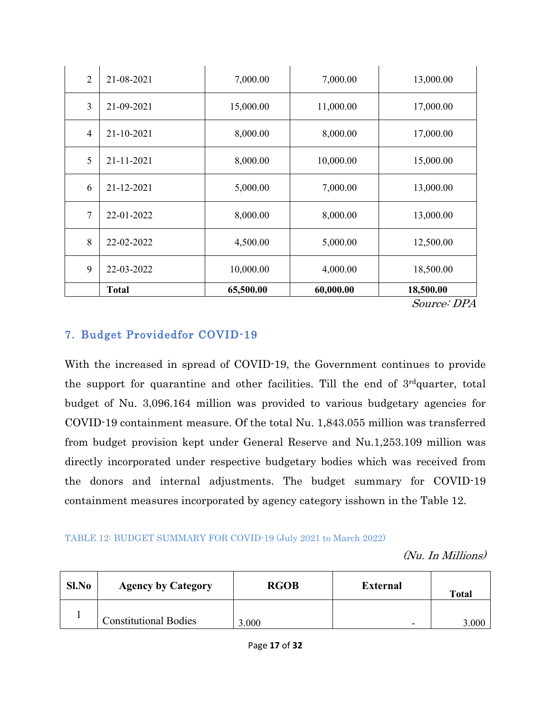| $\overline{2}$ | 21-08-2021   | 7,000.00  | 7,000.00  | 13,000.00 |
|----------------|--------------|-----------|-----------|-----------|
| 3              | 21-09-2021   | 15,000.00 | 11,000.00 | 17,000.00 |
| $\overline{4}$ | 21-10-2021   | 8,000.00  | 8,000.00  | 17,000.00 |
| 5              | 21-11-2021   | 8,000.00  | 10,000.00 | 15,000.00 |
| 6              | 21-12-2021   | 5,000.00  | 7,000.00  | 13,000.00 |
| 7              | 22-01-2022   | 8,000.00  | 8,000.00  | 13,000.00 |
| 8              | 22-02-2022   | 4,500.00  | 5,000.00  | 12,500.00 |
| 9              | 22-03-2022   | 10,000.00 | 4,000.00  | 18,500.00 |
|                | <b>Total</b> | 65,500.00 | 60,000.00 | 18,500.00 |

*Source: DPA*

# <span id="page-18-0"></span>**7. Budget Providedfor COVID-19**

With the increased in spread of COVID-19, the Government continues to provide the support for quarantine and other facilities. Till the end of 3rdquarter, total budget of Nu. 3,096.164 million was provided to various budgetary agencies for COVID-19 containment measure. Of the total Nu. 1,843.055 million was transferred from budget provision kept under General Reserve and Nu.1,253.109 million was directly incorporated under respective budgetary bodies which was received from the donors and internal adjustments. The budget summary for COVID-19 containment measures incorporated by agency category isshown in the Table 12.

#### TABLE 12: BUDGET SUMMARY FOR COVID-19 (July 2021 to March 2022)

*(Nu. In Millions)*

| Sl.No | <b>Agency by Category</b>    | <b>RGOB</b> | <b>External</b> | <b>Total</b> |
|-------|------------------------------|-------------|-----------------|--------------|
|       | <b>Constitutional Bodies</b> | 3.000       | -               | 3.000        |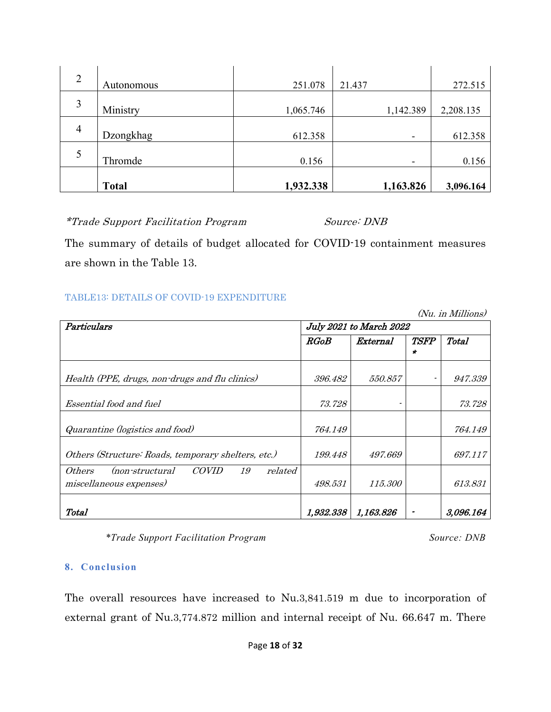| $\overline{2}$ | Autonomous   | 251.078   | 21.437    | 272.515   |
|----------------|--------------|-----------|-----------|-----------|
| 3              | Ministry     | 1,065.746 | 1,142.389 | 2,208.135 |
| $\overline{4}$ | Dzongkhag    | 612.358   | ٠         | 612.358   |
| 5              | Thromde      | 0.156     | ٠         | 0.156     |
|                | <b>Total</b> | 1,932.338 | 1,163.826 | 3,096.164 |

*\*Trade Support Facilitation Program Source: DNB*

The summary of details of budget allocated for COVID-19 containment measures are shown in the Table 13.

#### TABLE13: DETAILS OF COVID-19 EXPENDITURE

*(Nu. in Millions)*

| Particulars                                                                                  |           | July 2021 to March 2022 |                    |           |
|----------------------------------------------------------------------------------------------|-----------|-------------------------|--------------------|-----------|
|                                                                                              | RGoB      | External                | <i><b>TSFP</b></i> | Total     |
|                                                                                              |           |                         | ÷                  |           |
| Health (PPE, drugs, non-drugs and flu clinics)                                               | 396.482   | 550.857                 |                    | 947.339   |
|                                                                                              |           |                         |                    |           |
| Essential food and fuel                                                                      | 73.728    |                         |                    | 73.728    |
| Quarantine (logistics and food)                                                              | 764.149   |                         |                    | 764.149   |
| Others (Structure: Roads, temporary shelters, etc.)                                          | 199.448   | 497.669                 |                    | 697.117   |
| <i>COVID</i><br>related<br><i>Others</i><br>19<br>(non-structural<br>miscellaneous expenses) | 498.531   | <i>115.300</i>          |                    | 613.831   |
| Total                                                                                        | 1,932.338 | 1,163.826               |                    | 3,096.164 |

*\*Trade Support Facilitation Program Source: DNB*

#### <span id="page-19-0"></span>**8. Conclusion**

The overall resources have increased to Nu.3,841.519 m due to incorporation of external grant of Nu.3,774.872 million and internal receipt of Nu. 66.647 m. There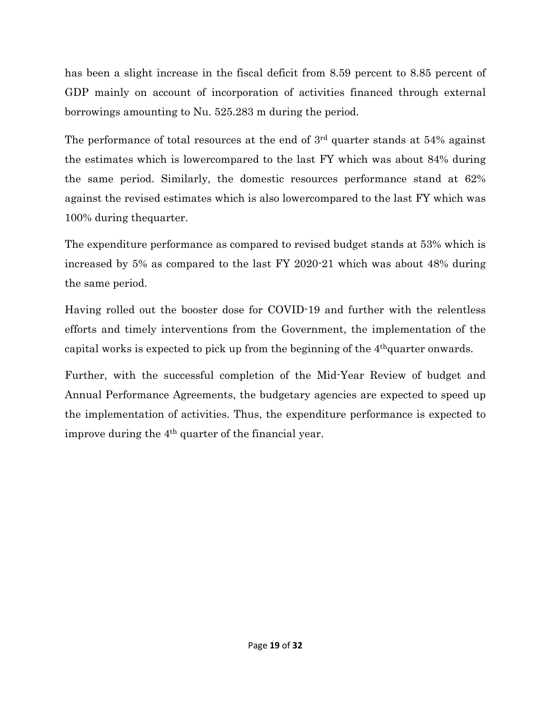has been a slight increase in the fiscal deficit from 8.59 percent to 8.85 percent of GDP mainly on account of incorporation of activities financed through external borrowings amounting to Nu. 525.283 m during the period.

The performance of total resources at the end of  $3<sup>rd</sup>$  quarter stands at 54% against the estimates which is lowercompared to the last FY which was about 84% during the same period. Similarly, the domestic resources performance stand at 62% against the revised estimates which is also lowercompared to the last FY which was 100% during thequarter.

The expenditure performance as compared to revised budget stands at 53% which is increased by 5% as compared to the last FY 2020-21 which was about 48% during the same period.

Having rolled out the booster dose for COVID-19 and further with the relentless efforts and timely interventions from the Government, the implementation of the capital works is expected to pick up from the beginning of the 4thquarter onwards.

Further, with the successful completion of the Mid-Year Review of budget and Annual Performance Agreements, the budgetary agencies are expected to speed up the implementation of activities. Thus, the expenditure performance is expected to improve during the  $4<sup>th</sup>$  quarter of the financial year.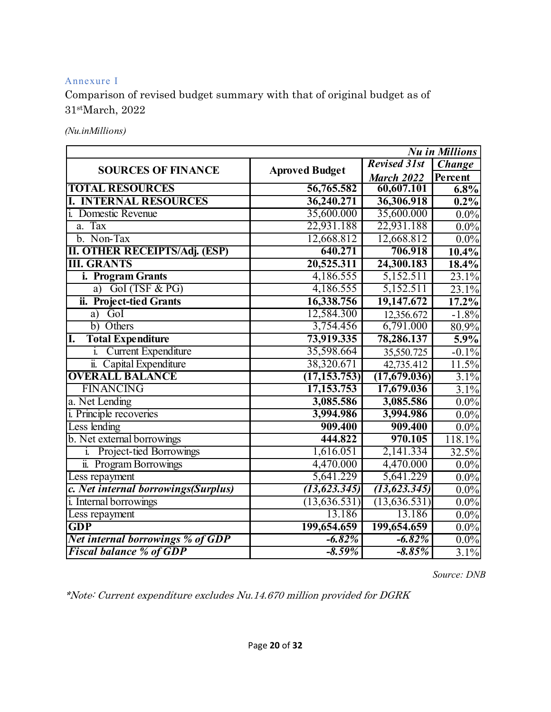#### <span id="page-21-0"></span>Annexure I

Comparison of revised budget summary with that of original budget as of 31stMarch, 2022

*(Nu.inMillions)*

|                                      |                       |                     | <b>Nu</b> in Millions |
|--------------------------------------|-----------------------|---------------------|-----------------------|
| <b>SOURCES OF FINANCE</b>            | <b>Aproved Budget</b> | <b>Revised 31st</b> | <b>Change</b>         |
|                                      |                       | <b>March 2022</b>   | Percent               |
| <b>TOTAL RESOURCES</b>               | 56,765.582            | 60,607.101          | 6.8%                  |
| <b>I. INTERNAL RESOURCES</b>         | 36,240.271            | 36,306.918          | 0.2%                  |
| <i>i.</i> Domestic Revenue           | 35,600.000            | 35,600.000          | $0.0\%$               |
| a. Tax                               | 22,931.188            | 22,931.188          | $0.0\%$               |
| b. Non-Tax                           | 12,668.812            | 12,668.812          | $0.0\%$               |
| <b>II. OTHER RECEIPTS/Adj. (ESP)</b> | 640.271               | 706.918             | $10.4\%$              |
| <b>III. GRANTS</b>                   | 20,525.311            | 24,300.183          | 18.4%                 |
| i. Program Grants                    | 4,186.555             | 5,152.511           | 23.1%                 |
| GoI (TSF & PG)<br>a)                 | 4,186.555             | 5,152.511           | 23.1%                 |
| ii. Project-tied Grants              | 16,338.756            | 19,147.672          | $17.2\%$              |
| GoI<br>a)                            | 12,584.300            | 12,356.672          | $-1.8%$               |
| b) Others                            | 3,754.456             | 6,791.000           | 80.9%                 |
| <b>Total Expenditure</b><br>I.       | 73,919.335            | 78,286.137          | 5.9%                  |
| i. Current Expenditure               | 35,598.664            | 35,550.725          | $-0.1%$               |
| ii. Capital Expenditure              | 38,320.671            | 42,735.412          | 11.5%                 |
| <b>OVERALL BALANCE</b>               | (17, 153, 753)        | (17,679.036)        | 3.1%                  |
| <b>FINANCING</b>                     | 17, 153. 753          | 17,679.036          | 3.1%                  |
| a. Net Lending                       | 3,085.586             | 3,085.586           | $0.0\%$               |
| <i>i</i> . Principle recoveries      | 3,994.986             | 3,994.986           | $0.0\%$               |
| Less lending                         | 909.400               | 909.400             | $0.0\%$               |
| b. Net external borrowings           | 444.822               | 970.105             | 118.1%                |
| i. Project-tied Borrowings           | 1,616.051             | 2,141.334           | 32.5%                 |
| ii. Program Borrowings               | 4,470.000             | 4,470.000           | $0.0\%$               |
| Less repayment                       | 5,641.229             | 5,641.229           | $0.0\%$               |
| c. Net internal borrowings(Surplus)  | (13, 623.345)         | (13, 623.345)       | 0.0%                  |
| i. Internal borrowings               | (13, 636.531)         | (13, 636.531)       | $0.0\%$               |
| Less repayment                       | 13.186                | 13.186              | 0.0%                  |
| $\overline{\text{GDP}}$              | 199,654.659           | 199,654.659         | $0.0\%$               |
| Net internal borrowings % of GDP     | $-6.82%$              | $-6.82%$            | $0.0\%$               |
| <b>Fiscal balance % of GDP</b>       | $-8.59%$              | $-8.85%$            | 3.1%                  |

*Source: DNB*

*\*Note: Current expenditure excludes Nu.14.670 million provided for DGRK*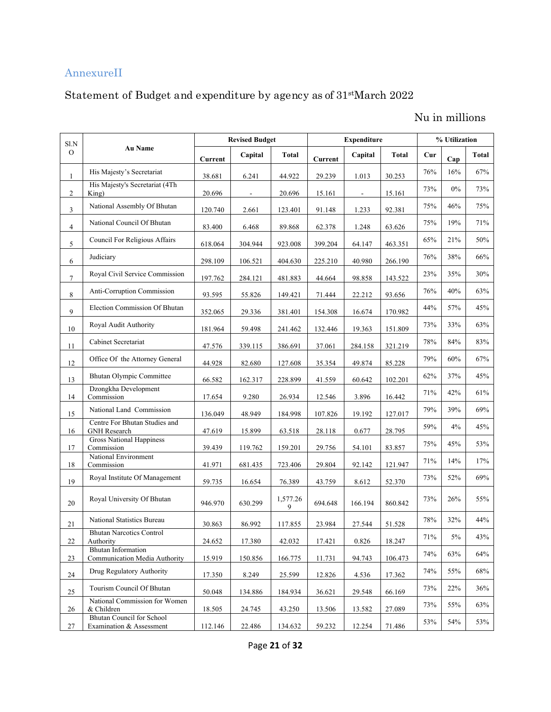# AnnexureII

# Statement of Budget and expenditure by agency as of 31stMarch 2022

# Nu in millions

| Sl.N           |                                                              |         | <b>Revised Budget</b> |               |         | <b>Expenditure</b>       |         |        | % Utilization |       |  |
|----------------|--------------------------------------------------------------|---------|-----------------------|---------------|---------|--------------------------|---------|--------|---------------|-------|--|
| $\mathbf{O}$   | <b>Au Name</b>                                               | Current | Capital               | <b>Total</b>  | Current | Capital                  | Total   | Cur    | Cap           | Total |  |
| 1              | His Majesty's Secretariat                                    | 38.681  | 6.241                 | 44.922        | 29.239  | 1.013                    | 30.253  | $76\%$ | 16%           | 67%   |  |
| $\overline{2}$ | His Majesty's Secretariat (4Th<br>King)                      | 20.696  | $\blacksquare$        | 20.696        | 15.161  | $\overline{\phantom{a}}$ | 15.161  | 73%    | $0\%$         | 73%   |  |
| $\mathfrak{Z}$ | National Assembly Of Bhutan                                  | 120.740 | 2.661                 | 123.401       | 91.148  | 1.233                    | 92.381  | 75%    | 46%           | 75%   |  |
| $\overline{4}$ | National Council Of Bhutan                                   | 83.400  | 6.468                 | 89.868        | 62.378  | 1.248                    | 63.626  | 75%    | 19%           | 71%   |  |
| 5              | Council For Religious Affairs                                | 618.064 | 304.944               | 923.008       | 399.204 | 64.147                   | 463.351 | 65%    | 21%           | 50%   |  |
| 6              | Judiciary                                                    | 298.109 | 106.521               | 404.630       | 225.210 | 40.980                   | 266.190 | 76%    | 38%           | 66%   |  |
| $\overline{7}$ | Royal Civil Service Commission                               | 197.762 | 284.121               | 481.883       | 44.664  | 98.858                   | 143.522 | 23%    | 35%           | 30%   |  |
| 8              | Anti-Corruption Commission                                   | 93.595  | 55.826                | 149.421       | 71.444  | 22.212                   | 93.656  | $76\%$ | 40%           | 63%   |  |
| 9              | Election Commission Of Bhutan                                | 352.065 | 29.336                | 381.401       | 154.308 | 16.674                   | 170.982 | 44%    | 57%           | 45%   |  |
| 10             | Royal Audit Authority                                        | 181.964 | 59.498                | 241.462       | 132.446 | 19.363                   | 151.809 | 73%    | 33%           | 63%   |  |
| 11             | Cabinet Secretariat                                          | 47.576  | 339.115               | 386.691       | 37.061  | 284.158                  | 321.219 | 78%    | 84%           | 83%   |  |
| 12             | Office Of the Attorney General                               | 44.928  | 82.680                | 127.608       | 35.354  | 49.874                   | 85.228  | 79%    | 60%           | 67%   |  |
| 13             | <b>Bhutan Olympic Committee</b>                              | 66.582  | 162.317               | 228.899       | 41.559  | 60.642                   | 102.201 | 62%    | 37%           | 45%   |  |
| 14             | Dzongkha Development<br>Commission                           | 17.654  | 9.280                 | 26.934        | 12.546  | 3.896                    | 16.442  | 71%    | 42%           | 61%   |  |
| 15             | National Land Commission                                     | 136.049 | 48.949                | 184.998       | 107.826 | 19.192                   | 127.017 | 79%    | 39%           | 69%   |  |
| 16             | Centre For Bhutan Studies and<br><b>GNH</b> Research         | 47.619  | 15.899                | 63.518        | 28.118  | 0.677                    | 28.795  | 59%    | 4%            | 45%   |  |
| 17             | <b>Gross National Happiness</b><br>Commission                | 39.439  | 119.762               | 159.201       | 29.756  | 54.101                   | 83.857  | 75%    | 45%           | 53%   |  |
| 18             | National Environment<br>Commission                           | 41.971  | 681.435               | 723.406       | 29.804  | 92.142                   | 121.947 | 71%    | 14%           | 17%   |  |
| 19             | Royal Institute Of Management                                | 59.735  | 16.654                | 76.389        | 43.759  | 8.612                    | 52.370  | 73%    | 52%           | 69%   |  |
| 20             | Royal University Of Bhutan                                   | 946.970 | 630.299               | 1,577.26<br>9 | 694.648 | 166.194                  | 860.842 | 73%    | 26%           | 55%   |  |
| 21             | National Statistics Bureau                                   | 30.863  | 86.992                | 117.855       | 23.984  | 27.544                   | 51.528  | $78\%$ | 32%           | 44%   |  |
| $22\,$         | <b>Bhutan Narcotics Control</b><br>Authority                 | 24.652  | 17.380                | 42.032        | 17.421  | 0.826                    | 18.247  | 71%    | 5%            | 43%   |  |
| 23             | <b>Bhutan Information</b><br>Communication Media Authority   | 15.919  | 150.856               | 166.775       | 11.731  | 94.743                   | 106.473 | 74%    | 63%           | 64%   |  |
| 24             | Drug Regulatory Authority                                    | 17.350  | 8.249                 | 25.599        | 12.826  | 4.536                    | 17.362  | 74%    | 55%           | 68%   |  |
| 25             | Tourism Council Of Bhutan                                    | 50.048  | 134.886               | 184.934       | 36.621  | 29.548                   | 66.169  | 73%    | 22%           | 36%   |  |
| 26             | National Commission for Women<br>& Children                  | 18.505  | 24.745                | 43.250        | 13.506  | 13.582                   | 27.089  | 73%    | 55%           | 63%   |  |
| 27             | <b>Bhutan Council for School</b><br>Examination & Assessment | 112.146 | 22.486                | 134.632       | 59.232  | 12.254                   | 71.486  | 53%    | 54%           | 53%   |  |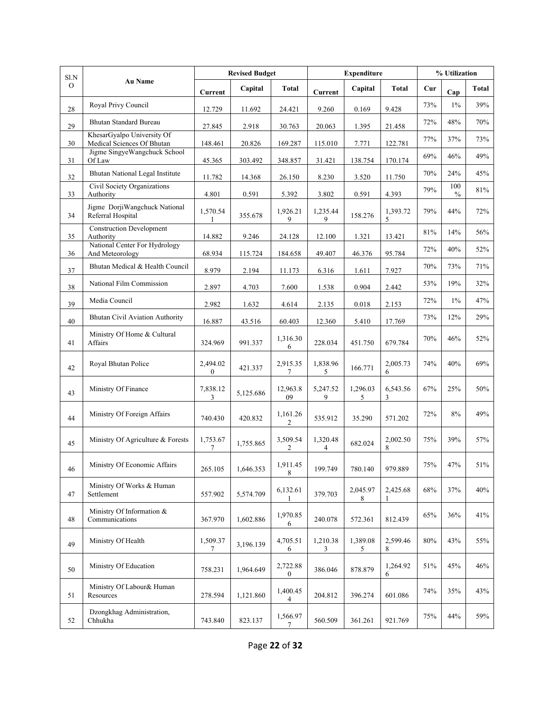| Sl.N     |                                                          |                          | <b>Revised Budget</b> |                              |               | <b>Expenditure</b> |                          |     | % Utilization |       |
|----------|----------------------------------------------------------|--------------------------|-----------------------|------------------------------|---------------|--------------------|--------------------------|-----|---------------|-------|
| $\Omega$ | <b>Au Name</b>                                           | Current                  | Capital               | Total                        | Current       | Capital            | <b>Total</b>             | Cur | Cap           | Total |
| 28       | Royal Privy Council                                      | 12.729                   | 11.692                | 24.421                       | 9.260         | 0.169              | 9.428                    | 73% | $1\%$         | 39%   |
| 29       | <b>Bhutan Standard Bureau</b>                            | 27.845                   | 2.918                 | 30.763                       | 20.063        | 1.395              | 21.458                   | 72% | 48%           | 70%   |
| 30       | KhesarGyalpo University Of<br>Medical Sciences Of Bhutan | 148.461                  | 20.826                | 169.287                      | 115.010       | 7.771              | 122.781                  | 77% | 37%           | 73%   |
| 31       | Jigme SingyeWangchuck School<br>Of Law                   | 45.365                   | 303.492               | 348.857                      | 31.421        | 138.754            | 170.174                  | 69% | 46%           | 49%   |
| 32       | <b>Bhutan National Legal Institute</b>                   | 11.782                   | 14.368                | 26.150                       | 8.230         | 3.520              | 11.750                   | 70% | 24%           | 45%   |
| 33       | Civil Society Organizations<br>Authority                 | 4.801                    | 0.591                 | 5.392                        | 3.802         | 0.591              | 4.393                    | 79% | 100<br>$\%$   | 81%   |
| 34       | Jigme DorjiWangchuck National<br>Referral Hospital       | 1,570.54<br>1            | 355.678               | 1,926.21<br>9                | 1,235.44<br>9 | 158.276            | 1,393.72<br>5            | 79% | 44%           | 72%   |
| 35       | <b>Construction Development</b><br>Authority             | 14.882                   | 9.246                 | 24.128                       | 12.100        | 1.321              | 13.421                   | 81% | 14%           | 56%   |
| 36       | National Center For Hydrology<br>And Meteorology         | 68.934                   | 115.724               | 184.658                      | 49.407        | 46.376             | 95.784                   | 72% | 40%           | 52%   |
| 37       | Bhutan Medical & Health Council                          | 8.979                    | 2.194                 | 11.173                       | 6.316         | 1.611              | 7.927                    | 70% | 73%           | 71%   |
| 38       | National Film Commission                                 | 2.897                    | 4.703                 | 7.600                        | 1.538         | 0.904              | 2.442                    | 53% | 19%           | 32%   |
| 39       | Media Council                                            | 2.982                    | 1.632                 | 4.614                        | 2.135         | 0.018              | 2.153                    | 72% | 1%            | 47%   |
| 40       | <b>Bhutan Civil Aviation Authority</b>                   | 16.887                   | 43.516                | 60.403                       | 12.360        | 5.410              | 17.769                   | 73% | 12%           | 29%   |
| 41       | Ministry Of Home & Cultural<br>Affairs                   | 324.969                  | 991.337               | 1,316.30<br>6                | 228.034       | 451.750            | 679.784                  | 70% | 46%           | 52%   |
| 42       | Royal Bhutan Police                                      | 2,494.02<br>$\mathbf{0}$ | 421.337               | 2,915.35<br>7                | 1,838.96<br>5 | 166.771            | 2,005.73<br>6            | 74% | 40%           | 69%   |
| 43       | Ministry Of Finance                                      | 7,838.12<br>3            | 5,125.686             | 12,963.8<br>09               | 5,247.52<br>9 | 1,296.03<br>5      | 6,543.56<br>3            | 67% | 25%           | 50%   |
| 44       | Ministry Of Foreign Affairs                              | 740.430                  | 420.832               | 1,161.26<br>$\overline{c}$   | 535.912       | 35.290             | 571.202                  | 72% | 8%            | 49%   |
| 45       | Ministry Of Agriculture & Forests                        | 1,753.67<br>7            | 1,755.865             | 3,509.54<br>2                | 1,320.48<br>4 | 682.024            | 2,002.50<br>8            | 75% | 39%           | 57%   |
| 46       | Ministry Of Economic Affairs                             | 265.105                  | 1,646.353             | 1,911.45<br>8                | 199.749       | 780.140            | 979.889                  | 75% | 47%           | 51%   |
| 47       | Ministry Of Works & Human<br>Settlement                  | 557.902                  | 5,574.709             | 6,132.61<br>1                | 379.703       | 2,045.97<br>8      | 2,425.68<br>$\mathbf{1}$ | 68% | 37%           | 40%   |
| 48       | Ministry Of Information &<br>Communications              | 367.970                  | 1,602.886             | 1,970.85<br>6                | 240.078       | 572.361            | 812.439                  | 65% | 36%           | 41%   |
| 49       | Ministry Of Health                                       | 1,509.37<br>7            | 3,196.139             | 4,705.51<br>6                | 1,210.38<br>3 | 1,389.08<br>5      | 2,599.46<br>8            | 80% | 43%           | 55%   |
| 50       | Ministry Of Education                                    | 758.231                  | 1,964.649             | 2,722.88<br>$\boldsymbol{0}$ | 386.046       | 878.879            | 1,264.92<br>6            | 51% | 45%           | 46%   |
| 51       | Ministry Of Labour& Human<br>Resources                   | 278.594                  | 1,121.860             | 1,400.45<br>4                | 204.812       | 396.274            | 601.086                  | 74% | 35%           | 43%   |
| 52       | Dzongkhag Administration,<br>Chhukha                     | 743.840                  | 823.137               | 1,566.97<br>7                | 560.509       | 361.261            | 921.769                  | 75% | 44%           | 59%   |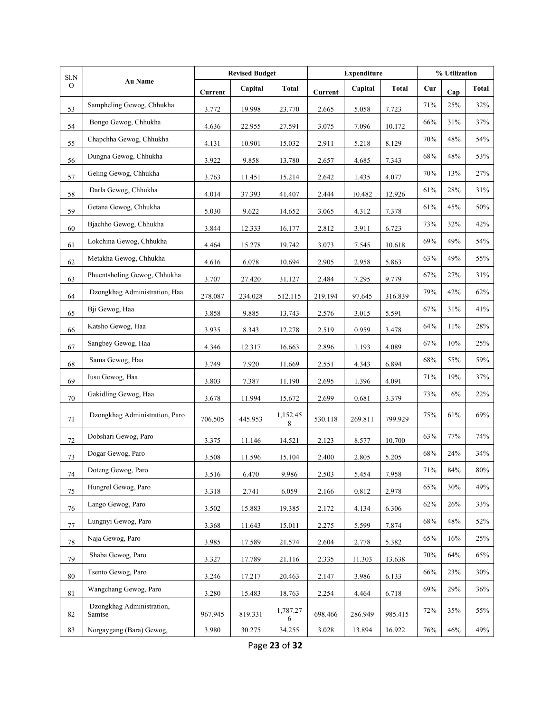| Sl.N          | <b>Au Name</b>                      |         | <b>Revised Budget</b> |               |         | <b>Expenditure</b> |              | % Utilization |        |              |
|---------------|-------------------------------------|---------|-----------------------|---------------|---------|--------------------|--------------|---------------|--------|--------------|
| $\mathcal{O}$ |                                     | Current | Capital               | <b>Total</b>  | Current | Capital            | <b>Total</b> | Cur           | Cap    | <b>Total</b> |
| 53            | Sampheling Gewog, Chhukha           | 3.772   | 19.998                | 23.770        | 2.665   | 5.058              | 7.723        | 71%           | 25%    | 32%          |
| 54            | Bongo Gewog, Chhukha                | 4.636   | 22.955                | 27.591        | 3.075   | 7.096              | 10.172       | 66%           | 31%    | 37%          |
| 55            | Chapchha Gewog, Chhukha             | 4.131   | 10.901                | 15.032        | 2.911   | 5.218              | 8.129        | 70%           | 48%    | 54%          |
| 56            | Dungna Gewog, Chhukha               | 3.922   | 9.858                 | 13.780        | 2.657   | 4.685              | 7.343        | 68%           | 48%    | 53%          |
| 57            | Geling Gewog, Chhukha               | 3.763   | 11.451                | 15.214        | 2.642   | 1.435              | 4.077        | 70%           | 13%    | 27%          |
| 58            | Darla Gewog, Chhukha                | 4.014   | 37.393                | 41.407        | 2.444   | 10.482             | 12.926       | 61%           | 28%    | 31%          |
| 59            | Getana Gewog, Chhukha               | 5.030   | 9.622                 | 14.652        | 3.065   | 4.312              | 7.378        | 61%           | 45%    | 50%          |
| 60            | Bjachho Gewog, Chhukha              | 3.844   | 12.333                | 16.177        | 2.812   | 3.911              | 6.723        | 73%           | 32%    | 42%          |
| 61            | Lokchina Gewog, Chhukha             | 4.464   | 15.278                | 19.742        | 3.073   | 7.545              | 10.618       | 69%           | 49%    | 54%          |
| 62            | Metakha Gewog, Chhukha              | 4.616   | 6.078                 | 10.694        | 2.905   | 2.958              | 5.863        | 63%           | 49%    | 55%          |
| 63            | Phuentsholing Gewog, Chhukha        | 3.707   | 27.420                | 31.127        | 2.484   | 7.295              | 9.779        | 67%           | 27%    | 31%          |
| 64            | Dzongkhag Administration, Haa       | 278.087 | 234.028               | 512.115       | 219.194 | 97.645             | 316.839      | 79%           | 42%    | 62%          |
| 65            | Bji Gewog, Haa                      | 3.858   | 9.885                 | 13.743        | 2.576   | 3.015              | 5.591        | 67%           | 31%    | 41%          |
| 66            | Katsho Gewog, Haa                   | 3.935   | 8.343                 | 12.278        | 2.519   | 0.959              | 3.478        | 64%           | 11%    | 28%          |
| 67            | Sangbey Gewog, Haa                  | 4.346   | 12.317                | 16.663        | 2.896   | 1.193              | 4.089        | 67%           | 10%    | 25%          |
| 68            | Sama Gewog, Haa                     | 3.749   | 7.920                 | 11.669        | 2.551   | 4.343              | 6.894        | 68%           | 55%    | 59%          |
| 69            | Iusu Gewog, Haa                     | 3.803   | 7.387                 | 11.190        | 2.695   | 1.396              | 4.091        | 71%           | 19%    | 37%          |
| 70            | Gakidling Gewog, Haa                | 3.678   | 11.994                | 15.672        | 2.699   | 0.681              | 3.379        | 73%           | 6%     | 22%          |
| 71            | Dzongkhag Administration, Paro      | 706.505 | 445.953               | 1,152.45<br>8 | 530.118 | 269.811            | 799.929      | 75%           | 61%    | 69%          |
| $72\,$        | Dobshari Gewog, Paro                | 3.375   | 11.146                | 14.521        | 2.123   | 8.577              | 10.700       | 63%           | 77%    | 74%          |
| 73            | Dogar Gewog, Paro                   | 3.508   | 11.596                | 15.104        | 2.400   | 2.805              | 5.205        | 68%           | 24%    | 34%          |
| 74            | Doteng Gewog, Paro                  | 3.516   | 6.470                 | 9.986         | 2.503   | 5.454              | 7.958        | 71%           | 84%    | 80%          |
| 75            | Hungrel Gewog, Paro                 | 3.318   | 2.741                 | 6.059         | 2.166   | 0.812              | 2.978        | 65%           | 30%    | 49%          |
| 76            | Lango Gewog, Paro                   | 3.502   | 15.883                | 19.385        | 2.172   | 4.134              | 6.306        | 62%           | 26%    | 33%          |
| $77 \,$       | Lungnyi Gewog, Paro                 | 3.368   | 11.643                | 15.011        | 2.275   | 5.599              | 7.874        | 68%           | 48%    | 52%          |
| $78\,$        | Naja Gewog, Paro                    | 3.985   | 17.589                | 21.574        | 2.604   | 2.778              | 5.382        | 65%           | 16%    | 25%          |
| 79            | Shaba Gewog, Paro                   | 3.327   | 17.789                | 21.116        | 2.335   | 11.303             | 13.638       | 70%           | 64%    | 65%          |
| 80            | Tsento Gewog, Paro                  | 3.246   | 17.217                | 20.463        | 2.147   | 3.986              | 6.133        | 66%           | 23%    | 30%          |
| 81            | Wangchang Gewog, Paro               | 3.280   | 15.483                | 18.763        | 2.254   | 4.464              | 6.718        | 69%           | 29%    | 36%          |
| 82            | Dzongkhag Administration,<br>Samtse | 967.945 | 819.331               | 1,787.27<br>6 | 698.466 | 286.949            | 985.415      | 72%           | 35%    | 55%          |
| 83            | Norgaygang (Bara) Gewog,            | 3.980   | 30.275                | 34.255        | 3.028   | 13.894             | 16.922       | 76%           | $46\%$ | 49%          |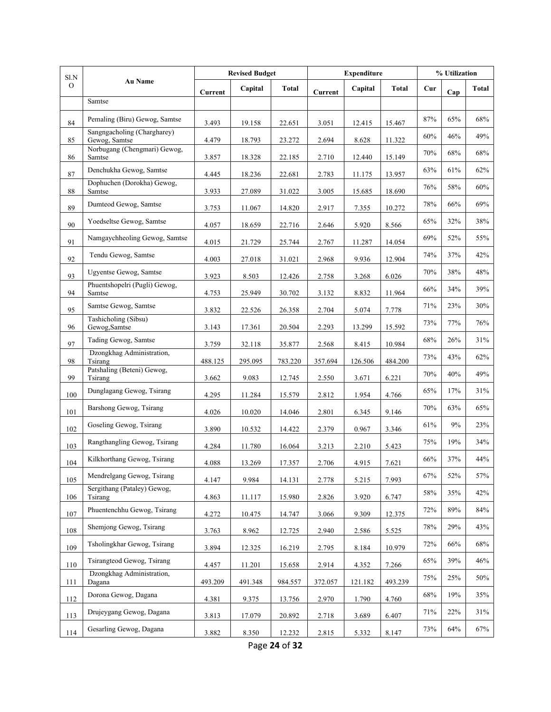| $\rm S1.N$    |                                              |         | <b>Revised Budget</b> |         |         | <b>Expenditure</b> |              |        | % Utilization |              |
|---------------|----------------------------------------------|---------|-----------------------|---------|---------|--------------------|--------------|--------|---------------|--------------|
| $\mathcal{O}$ | <b>Au Name</b>                               | Current | Capital               | Total   | Current | Capital            | <b>Total</b> | Cur    | Cap           | <b>Total</b> |
|               | Samtse                                       |         |                       |         |         |                    |              |        |               |              |
| 84            | Pemaling (Biru) Gewog, Samtse                | 3.493   | 19.158                | 22.651  | 3.051   | 12.415             | 15.467       | $87\%$ | 65%           | $68\%$       |
| 85            | Sangngacholing (Chargharey)<br>Gewog, Samtse | 4.479   | 18.793                | 23.272  | 2.694   | 8.628              | 11.322       | 60%    | 46%           | 49%          |
| 86            | Norbugang (Chengmari) Gewog,<br>Samtse       | 3.857   | 18.328                | 22.185  | 2.710   | 12.440             | 15.149       | 70%    | 68%           | 68%          |
| 87            | Denchukha Gewog, Samtse                      | 4.445   | 18.236                | 22.681  | 2.783   | 11.175             | 13.957       | 63%    | 61%           | 62%          |
| 88            | Dophuchen (Dorokha) Gewog,<br>Samtse         | 3.933   | 27.089                | 31.022  | 3.005   | 15.685             | 18.690       | 76%    | 58%           | 60%          |
| 89            | Dumteod Gewog, Samtse                        | 3.753   | 11.067                | 14.820  | 2.917   | 7.355              | 10.272       | $78\%$ | 66%           | 69%          |
| 90            | Yoedseltse Gewog, Samtse                     | 4.057   | 18.659                | 22.716  | 2.646   | 5.920              | 8.566        | 65%    | 32%           | 38%          |
| 91            | Namgaychheoling Gewog, Samtse                | 4.015   | 21.729                | 25.744  | 2.767   | 11.287             | 14.054       | 69%    | 52%           | 55%          |
| 92            | Tendu Gewog, Samtse                          | 4.003   | 27.018                | 31.021  | 2.968   | 9.936              | 12.904       | 74%    | 37%           | 42%          |
| 93            | <b>Ugyentse Gewog, Samtse</b>                | 3.923   | 8.503                 | 12.426  | 2.758   | 3.268              | 6.026        | 70%    | 38%           | 48%          |
| 94            | Phuentshopelri (Pugli) Gewog,<br>Samtse      | 4.753   | 25.949                | 30.702  | 3.132   | 8.832              | 11.964       | 66%    | 34%           | 39%          |
| 95            | Samtse Gewog, Samtse                         | 3.832   | 22.526                | 26.358  | 2.704   | 5.074              | 7.778        | 71%    | 23%           | 30%          |
| 96            | Tashicholing (Sibsu)<br>Gewog, Samtse        | 3.143   | 17.361                | 20.504  | 2.293   | 13.299             | 15.592       | 73%    | 77%           | 76%          |
| 97            | Tading Gewog, Samtse                         | 3.759   | 32.118                | 35.877  | 2.568   | 8.415              | 10.984       | 68%    | 26%           | 31%          |
| 98            | Dzongkhag Administration,<br>Tsirang         | 488.125 | 295.095               | 783.220 | 357.694 | 126.506            | 484.200      | 73%    | 43%           | 62%          |
| 99            | Patshaling (Beteni) Gewog,<br>Tsirang        | 3.662   | 9.083                 | 12.745  | 2.550   | 3.671              | 6.221        | 70%    | 40%           | 49%          |
| 100           | Dunglagang Gewog, Tsirang                    | 4.295   | 11.284                | 15.579  | 2.812   | 1.954              | 4.766        | 65%    | 17%           | 31%          |
| 101           | Barshong Gewog, Tsirang                      | 4.026   | 10.020                | 14.046  | 2.801   | 6.345              | 9.146        | 70%    | 63%           | 65%          |
| 102           | Goseling Gewog, Tsirang                      | 3.890   | 10.532                | 14.422  | 2.379   | 0.967              | 3.346        | 61%    | 9%            | 23%          |
| 103           | Rangthangling Gewog, Tsirang                 | 4.284   | 11.780                | 16.064  | 3.213   | 2.210              | 5.423        | 75%    | 19%           | 34%          |
| 104           | Kilkhorthang Gewog, Tsirang                  | 4.088   | 13.269                | 17.357  | 2.706   | 4.915              | 7.621        | $66\%$ | 37%           | 44%          |
| 105           | Mendrelgang Gewog, Tsirang                   | 4.147   | 9.984                 | 14.131  | 2.778   | 5.215              | 7.993        | 67%    | 52%           | 57%          |
| 106           | Sergithang (Pataley) Gewog,<br>Tsirang       | 4.863   | 11.117                | 15.980  | 2.826   | 3.920              | 6.747        | 58%    | 35%           | 42%          |
| 107           | Phuentenchhu Gewog, Tsirang                  | 4.272   | 10.475                | 14.747  | 3.066   | 9.309              | 12.375       | 72%    | 89%           | 84%          |
| 108           | Shemjong Gewog, Tsirang                      | 3.763   | 8.962                 | 12.725  | 2.940   | 2.586              | 5.525        | 78%    | 29%           | 43%          |
| 109           | Tsholingkhar Gewog, Tsirang                  | 3.894   | 12.325                | 16.219  | 2.795   | 8.184              | 10.979       | 72%    | 66%           | $68\%$       |
| 110           | Tsirangteod Gewog, Tsirang                   | 4.457   | 11.201                | 15.658  | 2.914   | 4.352              | 7.266        | 65%    | 39%           | 46%          |
| 111           | Dzongkhag Administration,<br>Dagana          | 493.209 | 491.348               | 984.557 | 372.057 | 121.182            | 493.239      | 75%    | 25%           | 50%          |
| 112           | Dorona Gewog, Dagana                         | 4.381   | 9.375                 | 13.756  | 2.970   | 1.790              | 4.760        | 68%    | 19%           | 35%          |
| 113           | Drujeygang Gewog, Dagana                     | 3.813   | 17.079                | 20.892  | 2.718   | 3.689              | 6.407        | 71%    | 22%           | 31%          |
| 114           | Gesarling Gewog, Dagana                      | 3.882   | 8.350                 | 12.232  | 2.815   | 5.332              | 8.147        | 73%    | 64%           | 67%          |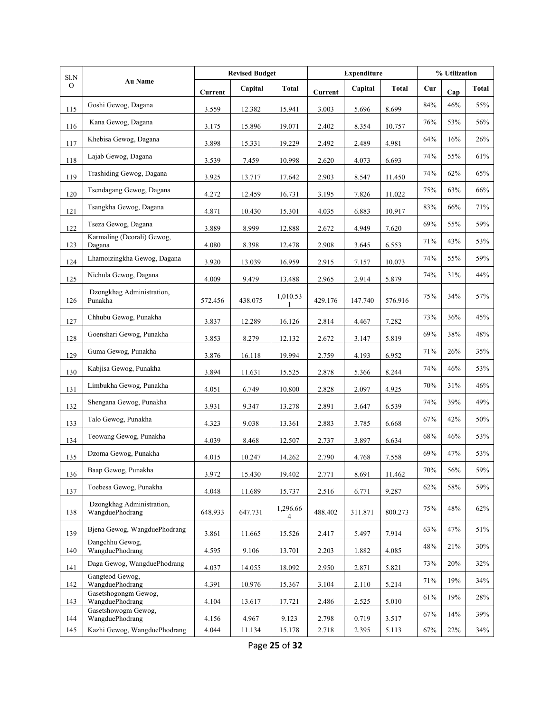| Sl.N          |                                              |         | <b>Revised Budget</b> |               |         | <b>Expenditure</b> |              |        | % Utilization |              |  |
|---------------|----------------------------------------------|---------|-----------------------|---------------|---------|--------------------|--------------|--------|---------------|--------------|--|
| $\mathcal{O}$ | <b>Au Name</b>                               | Current | Capital               | <b>Total</b>  | Current | Capital            | <b>Total</b> | Cur    | Cap           | <b>Total</b> |  |
| 115           | Goshi Gewog, Dagana                          | 3.559   | 12.382                | 15.941        | 3.003   | 5.696              | 8.699        | $84\%$ | 46%           | 55%          |  |
| 116           | Kana Gewog, Dagana                           | 3.175   | 15.896                | 19.071        | 2.402   | 8.354              | 10.757       | 76%    | 53%           | 56%          |  |
| 117           | Khebisa Gewog, Dagana                        | 3.898   | 15.331                | 19.229        | 2.492   | 2.489              | 4.981        | 64%    | 16%           | 26%          |  |
| 118           | Lajab Gewog, Dagana                          | 3.539   | 7.459                 | 10.998        | 2.620   | 4.073              | 6.693        | 74%    | 55%           | 61%          |  |
| 119           | Trashiding Gewog, Dagana                     | 3.925   | 13.717                | 17.642        | 2.903   | 8.547              | 11.450       | 74%    | 62%           | 65%          |  |
| 120           | Tsendagang Gewog, Dagana                     | 4.272   | 12.459                | 16.731        | 3.195   | 7.826              | 11.022       | 75%    | 63%           | 66%          |  |
| 121           | Tsangkha Gewog, Dagana                       | 4.871   | 10.430                | 15.301        | 4.035   | 6.883              | 10.917       | 83%    | 66%           | 71%          |  |
| 122           | Tseza Gewog, Dagana                          | 3.889   | 8.999                 | 12.888        | 2.672   | 4.949              | 7.620        | 69%    | 55%           | 59%          |  |
| 123           | Karmaling (Deorali) Gewog,<br>Dagana         | 4.080   | 8.398                 | 12.478        | 2.908   | 3.645              | 6.553        | 71%    | 43%           | 53%          |  |
| 124           | Lhamoizingkha Gewog, Dagana                  | 3.920   | 13.039                | 16.959        | 2.915   | 7.157              | 10.073       | 74%    | 55%           | 59%          |  |
| 125           | Nichula Gewog, Dagana                        | 4.009   | 9.479                 | 13.488        | 2.965   | 2.914              | 5.879        | 74%    | 31%           | 44%          |  |
| 126           | Dzongkhag Administration,<br>Punakha         | 572.456 | 438.075               | 1,010.53<br>1 | 429.176 | 147.740            | 576.916      | 75%    | 34%           | 57%          |  |
| 127           | Chhubu Gewog, Punakha                        | 3.837   | 12.289                | 16.126        | 2.814   | 4.467              | 7.282        | 73%    | 36%           | 45%          |  |
| 128           | Goenshari Gewog, Punakha                     | 3.853   | 8.279                 | 12.132        | 2.672   | 3.147              | 5.819        | 69%    | 38%           | 48%          |  |
| 129           | Guma Gewog, Punakha                          | 3.876   | 16.118                | 19.994        | 2.759   | 4.193              | 6.952        | 71%    | 26%           | 35%          |  |
| 130           | Kabjisa Gewog, Punakha                       | 3.894   | 11.631                | 15.525        | 2.878   | 5.366              | 8.244        | 74%    | 46%           | 53%          |  |
| 131           | Limbukha Gewog, Punakha                      | 4.051   | 6.749                 | 10.800        | 2.828   | 2.097              | 4.925        | 70%    | 31%           | 46%          |  |
| 132           | Shengana Gewog, Punakha                      | 3.931   | 9.347                 | 13.278        | 2.891   | 3.647              | 6.539        | 74%    | 39%           | 49%          |  |
| 133           | Talo Gewog, Punakha                          | 4.323   | 9.038                 | 13.361        | 2.883   | 3.785              | 6.668        | 67%    | 42%           | 50%          |  |
| 134           | Teowang Gewog, Punakha                       | 4.039   | 8.468                 | 12.507        | 2.737   | 3.897              | 6.634        | 68%    | 46%           | 53%          |  |
| 135           | Dzoma Gewog, Punakha                         | 4.015   | 10.247                | 14.262        | 2.790   | 4.768              | 7.558        | 69%    | 47%           | 53%          |  |
| 136           | Baap Gewog, Punakha                          | 3.972   | 15.430                | 19.402        | 2.771   | 8.691              | 11.462       | 70%    | 56%           | 59%          |  |
| 137           | Toebesa Gewog, Punakha                       | 4.048   | 11.689                | 15.737        | 2.516   | 6.771              | 9.287        | 62%    | 58%           | 59%          |  |
| 138           | Dzongkhag Administration,<br>WangduePhodrang | 648.933 | 647.731               | 1,296.66<br>4 | 488.402 | 311.871            | 800.273      | 75%    | 48%           | 62%          |  |
| 139           | Bjena Gewog, WangduePhodrang                 | 3.861   | 11.665                | 15.526        | 2.417   | 5.497              | 7.914        | 63%    | 47%           | 51%          |  |
| 140           | Dangchhu Gewog,<br>WangduePhodrang           | 4.595   | 9.106                 | 13.701        | 2.203   | 1.882              | 4.085        | 48%    | 21%           | 30%          |  |
| 141           | Daga Gewog, WangduePhodrang                  | 4.037   | 14.055                | 18.092        | 2.950   | 2.871              | 5.821        | 73%    | 20%           | 32%          |  |
| 142           | Gangteod Gewog,<br>WangduePhodrang           | 4.391   | 10.976                | 15.367        | 3.104   | 2.110              | 5.214        | 71%    | 19%           | 34%          |  |
| 143           | Gasetshogongm Gewog,<br>WangduePhodrang      | 4.104   | 13.617                | 17.721        | 2.486   | 2.525              | 5.010        | 61%    | 19%           | 28%          |  |
| 144           | Gasetshowogm Gewog,<br>WangduePhodrang       | 4.156   | 4.967                 | 9.123         | 2.798   | 0.719              | 3.517        | 67%    | 14%           | 39%          |  |
| 145           | Kazhi Gewog, WangduePhodrang                 | 4.044   | 11.134                | 15.178        | 2.718   | 2.395              | 5.113        | 67%    | 22%           | 34%          |  |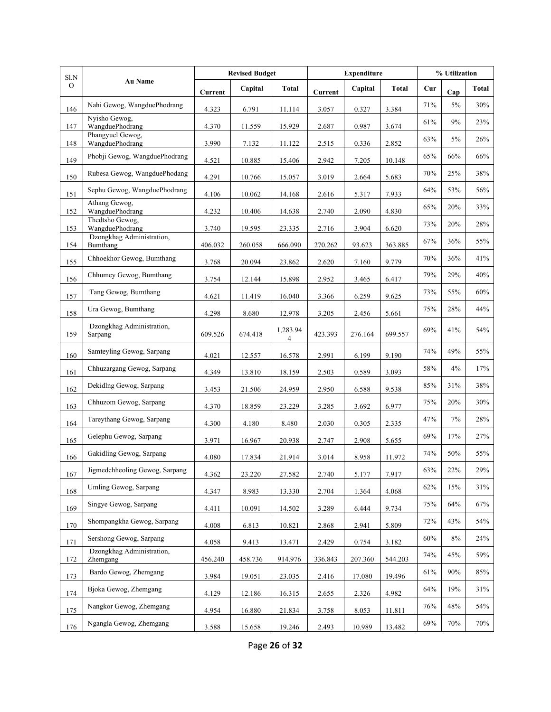|               | Sl.N<br><b>Au Name</b>                       |         | <b>Revised Budget</b> |                            |                | <b>Expenditure</b> |         |     | % Utilization |              |  |
|---------------|----------------------------------------------|---------|-----------------------|----------------------------|----------------|--------------------|---------|-----|---------------|--------------|--|
| $\mathcal{O}$ |                                              | Current | Capital               | Total                      | <b>Current</b> | Capital            | Total   | Cur | Cap           | <b>Total</b> |  |
| 146           | Nahi Gewog, WangduePhodrang                  | 4.323   | 6.791                 | 11.114                     | 3.057          | 0.327              | 3.384   | 71% | 5%            | 30%          |  |
| 147           | Nyisho Gewog,<br>WangduePhodrang             | 4.370   | 11.559                | 15.929                     | 2.687          | 0.987              | 3.674   | 61% | 9%            | 23%          |  |
| 148           | Phangyuel Gewog,<br>WangduePhodrang          | 3.990   | 7.132                 | 11.122                     | 2.515          | 0.336              | 2.852   | 63% | 5%            | 26%          |  |
| 149           | Phobji Gewog, WangduePhodrang                | 4.521   | 10.885                | 15.406                     | 2.942          | 7.205              | 10.148  | 65% | 66%           | 66%          |  |
| 150           | Rubesa Gewog, WangduePhodang                 | 4.291   | 10.766                | 15.057                     | 3.019          | 2.664              | 5.683   | 70% | 25%           | 38%          |  |
| 151           | Sephu Gewog, WangduePhodrang                 | 4.106   | 10.062                | 14.168                     | 2.616          | 5.317              | 7.933   | 64% | 53%           | 56%          |  |
| 152           | Athang Gewog,<br>WangduePhodrang             | 4.232   | 10.406                | 14.638                     | 2.740          | 2.090              | 4.830   | 65% | 20%           | 33%          |  |
|               | Thedtsho Gewog,                              |         |                       |                            |                |                    |         | 73% | 20%           | 28%          |  |
| 153           | WangduePhodrang<br>Dzongkhag Administration, | 3.740   | 19.595                | 23.335                     | 2.716          | 3.904              | 6.620   | 67% | 36%           | 55%          |  |
| 154           | Bumthang<br>Chhoekhor Gewog, Bumthang        | 406.032 | 260.058               | 666.090                    | 270.262        | 93.623             | 363.885 | 70% | 36%           | 41%          |  |
| 155           |                                              | 3.768   | 20.094                | 23.862                     | 2.620          | 7.160              | 9.779   |     |               |              |  |
| 156           | Chhumey Gewog, Bumthang                      | 3.754   | 12.144                | 15.898                     | 2.952          | 3.465              | 6.417   | 79% | 29%           | 40%          |  |
| 157           | Tang Gewog, Bumthang                         | 4.621   | 11.419                | 16.040                     | 3.366          | 6.259              | 9.625   | 73% | 55%           | 60%          |  |
| 158           | Ura Gewog, Bumthang                          | 4.298   | 8.680                 | 12.978                     | 3.205          | 2.456              | 5.661   | 75% | 28%           | 44%          |  |
| 159           | Dzongkhag Administration,<br>Sarpang         | 609.526 | 674.418               | 1,283.94<br>$\overline{4}$ | 423.393        | 276.164            | 699.557 | 69% | 41%           | 54%          |  |
| 160           | Samteyling Gewog, Sarpang                    | 4.021   | 12.557                | 16.578                     | 2.991          | 6.199              | 9.190   | 74% | 49%           | 55%          |  |
| 161           | Chhuzargang Gewog, Sarpang                   | 4.349   | 13.810                | 18.159                     | 2.503          | 0.589              | 3.093   | 58% | 4%            | 17%          |  |
| 162           | Dekidlng Gewog, Sarpang                      | 3.453   | 21.506                | 24.959                     | 2.950          | 6.588              | 9.538   | 85% | 31%           | 38%          |  |
| 163           | Chhuzom Gewog, Sarpang                       | 4.370   | 18.859                | 23.229                     | 3.285          | 3.692              | 6.977   | 75% | 20%           | 30%          |  |
| 164           | Tareythang Gewog, Sarpang                    | 4.300   | 4.180                 | 8.480                      | 2.030          | 0.305              | 2.335   | 47% | 7%            | 28%          |  |
| 165           | Gelephu Gewog, Sarpang                       | 3.971   | 16.967                | 20.938                     | 2.747          | 2.908              | 5.655   | 69% | 17%           | 27%          |  |
| 166           | Gakidling Gewog, Sarpang                     | 4.080   | 17.834                | 21.914                     | 3.014          | 8.958              | 11.972  | 74% | 50%           | 55%          |  |
| 167           | Jigmedchheoling Gewog, Sarpang               | 4.362   | 23.220                | 27.582                     | 2.740          | 5.177              | 7.917   | 63% | 22%           | 29%          |  |
| 168           | Umling Gewog, Sarpang                        | 4.347   | 8.983                 | 13.330                     | 2.704          | 1.364              | 4.068   | 62% | 15%           | 31%          |  |
| 169           | Singye Gewog, Sarpang                        | 4.411   | 10.091                | 14.502                     | 3.289          | 6.444              | 9.734   | 75% | 64%           | 67%          |  |
| 170           | Shompangkha Gewog, Sarpang                   | 4.008   | 6.813                 | 10.821                     | 2.868          | 2.941              | 5.809   | 72% | 43%           | 54%          |  |
| 171           | Sershong Gewog, Sarpang                      | 4.058   | 9.413                 | 13.471                     | 2.429          | 0.754              | 3.182   | 60% | $8\%$         | 24%          |  |
| 172           | Dzongkhag Administration,<br>Zhemgang        | 456.240 | 458.736               | 914.976                    | 336.843        | 207.360            | 544.203 | 74% | 45%           | 59%          |  |
| 173           | Bardo Gewog, Zhemgang                        | 3.984   | 19.051                | 23.035                     | 2.416          | 17.080             | 19.496  | 61% | 90%           | 85%          |  |
| 174           | Bjoka Gewog, Zhemgang                        | 4.129   | 12.186                | 16.315                     | 2.655          | 2.326              | 4.982   | 64% | 19%           | 31%          |  |
| 175           | Nangkor Gewog, Zhemgang                      | 4.954   | 16.880                | 21.834                     | 3.758          | 8.053              | 11.811  | 76% | 48%           | 54%          |  |
| 176           | Ngangla Gewog, Zhemgang                      | 3.588   | 15.658                | 19.246                     | 2.493          | 10.989             | 13.482  | 69% | 70%           | 70%          |  |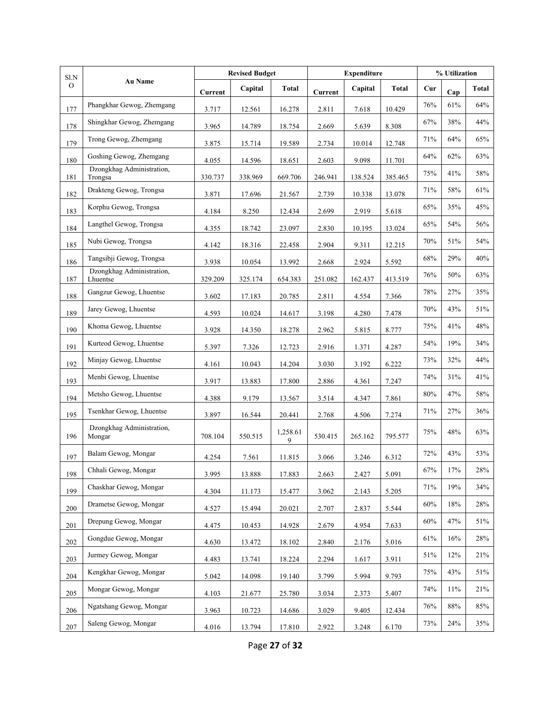| Sl.N          | <b>Au Name</b>                        | <b>Revised Budget</b> |         |               | <b>Expenditure</b> | % Utilization |         |        |     |              |
|---------------|---------------------------------------|-----------------------|---------|---------------|--------------------|---------------|---------|--------|-----|--------------|
| $\mathcal{O}$ |                                       | Current               | Capital | <b>Total</b>  | Current            | Capital       | Total   | Cur    | Cap | <b>Total</b> |
| 177           | Phangkhar Gewog, Zhemgang             | 3.717                 | 12.561  | 16.278        | 2.811              | 7.618         | 10.429  | 76%    | 61% | 64%          |
| 178           | Shingkhar Gewog, Zhemgang             | 3.965                 | 14.789  | 18.754        | 2.669              | 5.639         | 8.308   | 67%    | 38% | 44%          |
| 179           | Trong Gewog, Zhemgang                 | 3.875                 | 15.714  | 19.589        | 2.734              | 10.014        | 12.748  | 71%    | 64% | 65%          |
| 180           | Goshing Gewog, Zhemgang               | 4.055                 | 14.596  | 18.651        | 2.603              | 9.098         | 11.701  | 64%    | 62% | 63%          |
| 181           | Dzongkhag Administration,<br>Trongsa  | 330.737               | 338.969 | 669.706       | 246.941            | 138.524       | 385.465 | 75%    | 41% | 58%          |
| 182           | Drakteng Gewog, Trongsa               | 3.871                 | 17.696  | 21.567        | 2.739              | 10.338        | 13.078  | 71%    | 58% | $61\%$       |
| 183           | Korphu Gewog, Trongsa                 | 4.184                 | 8.250   | 12.434        | 2.699              | 2.919         | 5.618   | 65%    | 35% | 45%          |
| 184           | Langthel Gewog, Trongsa               | 4.355                 | 18.742  | 23.097        | 2.830              | 10.195        | 13.024  | 65%    | 54% | 56%          |
| 185           | Nubi Gewog, Trongsa                   | 4.142                 | 18.316  | 22.458        | 2.904              | 9.311         | 12.215  | 70%    | 51% | 54%          |
| 186           | Tangsibji Gewog, Trongsa              | 3.938                 | 10.054  | 13.992        | 2.668              | 2.924         | 5.592   | 68%    | 29% | 40%          |
| 187           | Dzongkhag Administration,<br>Lhuentse | 329.209               | 325.174 | 654.383       | 251.082            | 162.437       | 413.519 | 76%    | 50% | 63%          |
| 188           | Gangzur Gewog, Lhuentse               | 3.602                 | 17.183  | 20.785        | 2.811              | 4.554         | 7.366   | 78%    | 27% | 35%          |
| 189           | Jarey Gewog, Lhuentse                 | 4.593                 | 10.024  | 14.617        | 3.198              | 4.280         | 7.478   | 70%    | 43% | 51%          |
| 190           | Khoma Gewog, Lhuentse                 | 3.928                 | 14.350  | 18.278        | 2.962              | 5.815         | 8.777   | 75%    | 41% | $48\%$       |
| 191           | Kurteod Gewog, Lhuentse               | 5.397                 | 7.326   | 12.723        | 2.916              | 1.371         | 4.287   | 54%    | 19% | 34%          |
| 192           | Minjay Gewog, Lhuentse                | 4.161                 | 10.043  | 14.204        | 3.030              | 3.192         | 6.222   | 73%    | 32% | 44%          |
| 193           | Menbi Gewog, Lhuentse                 | 3.917                 | 13.883  | 17.800        | 2.886              | 4.361         | 7.247   | 74%    | 31% | 41%          |
| 194           | Metsho Gewog, Lhuentse                | 4.388                 | 9.179   | 13.567        | 3.514              | 4.347         | 7.861   | 80%    | 47% | 58%          |
| 195           | Tsenkhar Gewog, Lhuentse              | 3.897                 | 16.544  | 20.441        | 2.768              | 4.506         | 7.274   | 71%    | 27% | 36%          |
| 196           | Dzongkhag Administration,<br>Mongar   | 708.104               | 550.515 | 1,258.61<br>9 | 530.415            | 265.162       | 795.577 | 75%    | 48% | 63%          |
| 197           | Balam Gewog, Mongar                   | 4.254                 | 7.561   | 11.815        | 3.066              | 3.246         | 6.312   | 72%    | 43% | 53%          |
| 198           | Chhali Gewog, Mongar                  | 3.995                 | 13.888  | 17.883        | 2.663              | 2.427         | 5.091   | 67%    | 17% | 28%          |
| 199           | Chaskhar Gewog, Mongar                | 4.304                 | 11.173  | 15.477        | 3.062              | 2.143         | 5.205   | 71%    | 19% | 34%          |
| 200           | Drametse Gewog, Mongar                | 4.527                 | 15.494  | 20.021        | 2.707              | 2.837         | 5.544   | 60%    | 18% | 28%          |
| 201           | Drepung Gewog, Mongar                 | 4.475                 | 10.453  | 14.928        | 2.679              | 4.954         | 7.633   | $60\%$ | 47% | 51%          |
| 202           | Gongdue Gewog, Mongar                 | 4.630                 | 13.472  | 18.102        | 2.840              | 2.176         | 5.016   | 61%    | 16% | 28%          |
| 203           | Jurmey Gewog, Mongar                  | 4.483                 | 13.741  | 18.224        | 2.294              | 1.617         | 3.911   | 51%    | 12% | 21%          |
| 204           | Kengkhar Gewog, Mongar                | 5.042                 | 14.098  | 19.140        | 3.799              | 5.994         | 9.793   | 75%    | 43% | 51%          |
| $205\,$       | Mongar Gewog, Mongar                  | 4.103                 | 21.677  | 25.780        | 3.034              | 2.373         | 5.407   | 74%    | 11% | 21%          |
| 206           | Ngatshang Gewog, Mongar               | 3.963                 | 10.723  | 14.686        | 3.029              | 9.405         | 12.434  | 76%    | 88% | 85%          |
| 207           | Saleng Gewog, Mongar                  | 4.016                 | 13.794  | 17.810        | 2.922              | 3.248         | 6.170   | 73%    | 24% | 35%          |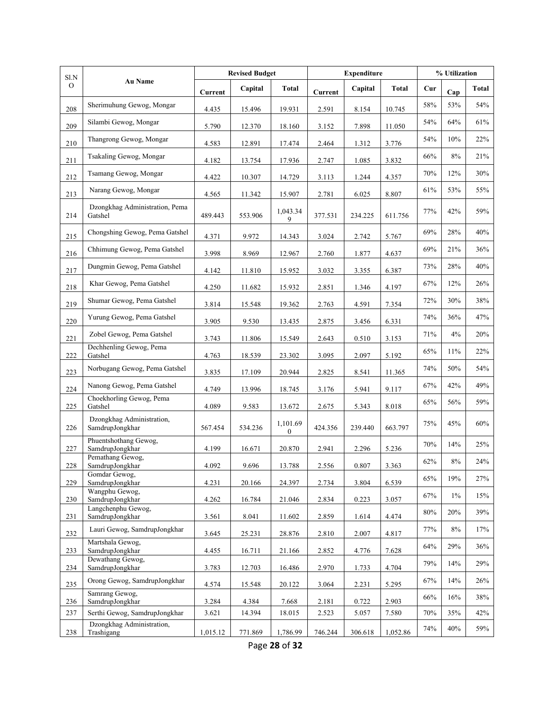| Sl.N          | Au Name                                      | <b>Revised Budget</b> |         |                              | <b>Expenditure</b> | % Utilization |              |     |       |       |
|---------------|----------------------------------------------|-----------------------|---------|------------------------------|--------------------|---------------|--------------|-----|-------|-------|
| $\mathcal{O}$ |                                              | <b>Current</b>        | Capital | <b>Total</b>                 | Current            | Capital       | <b>Total</b> | Cur | Cap   | Total |
| 208           | Sherimuhung Gewog, Mongar                    | 4.435                 | 15.496  | 19.931                       | 2.591              | 8.154         | 10.745       | 58% | 53%   | 54%   |
| 209           | Silambi Gewog, Mongar                        | 5.790                 | 12.370  | 18.160                       | 3.152              | 7.898         | 11.050       | 54% | 64%   | 61%   |
| 210           | Thangrong Gewog, Mongar                      | 4.583                 | 12.891  | 17.474                       | 2.464              | 1.312         | 3.776        | 54% | 10%   | 22%   |
| 211           | Tsakaling Gewog, Mongar                      | 4.182                 | 13.754  | 17.936                       | 2.747              | 1.085         | 3.832        | 66% | $8\%$ | 21%   |
| 212           | Tsamang Gewog, Mongar                        | 4.422                 | 10.307  | 14.729                       | 3.113              | 1.244         | 4.357        | 70% | 12%   | 30%   |
| 213           | Narang Gewog, Mongar                         | 4.565                 | 11.342  | 15.907                       | 2.781              | 6.025         | 8.807        | 61% | 53%   | 55%   |
| 214           | Dzongkhag Administration, Pema<br>Gatshel    | 489.443               | 553.906 | 1,043.34<br>9                | 377.531            | 234.225       | 611.756      | 77% | 42%   | 59%   |
| 215           | Chongshing Gewog, Pema Gatshel               | 4.371                 | 9.972   | 14.343                       | 3.024              | 2.742         | 5.767        | 69% | 28%   | 40%   |
| 216           | Chhimung Gewog, Pema Gatshel                 | 3.998                 | 8.969   | 12.967                       | 2.760              | 1.877         | 4.637        | 69% | 21%   | 36%   |
| 217           | Dungmin Gewog, Pema Gatshel                  | 4.142                 | 11.810  | 15.952                       | 3.032              | 3.355         | 6.387        | 73% | 28%   | 40%   |
| 218           | Khar Gewog, Pema Gatshel                     | 4.250                 | 11.682  | 15.932                       | 2.851              | 1.346         | 4.197        | 67% | 12%   | 26%   |
| 219           | Shumar Gewog, Pema Gatshel                   | 3.814                 | 15.548  | 19.362                       | 2.763              | 4.591         | 7.354        | 72% | 30%   | 38%   |
| 220           | Yurung Gewog, Pema Gatshel                   | 3.905                 | 9.530   | 13.435                       | 2.875              | 3.456         | 6.331        | 74% | 36%   | 47%   |
| 221           | Zobel Gewog, Pema Gatshel                    | 3.743                 | 11.806  | 15.549                       | 2.643              | 0.510         | 3.153        | 71% | 4%    | 20%   |
| 222           | Dechhenling Gewog, Pema<br>Gatshel           | 4.763                 | 18.539  | 23.302                       | 3.095              | 2.097         | 5.192        | 65% | 11%   | 22%   |
| 223           | Norbugang Gewog, Pema Gatshel                | 3.835                 | 17.109  | 20.944                       | 2.825              | 8.541         | 11.365       | 74% | 50%   | 54%   |
| 224           | Nanong Gewog, Pema Gatshel                   | 4.749                 | 13.996  | 18.745                       | 3.176              | 5.941         | 9.117        | 67% | 42%   | 49%   |
| 225           | Choekhorling Gewog, Pema<br>Gatshel          | 4.089                 | 9.583   | 13.672                       | 2.675              | 5.343         | 8.018        | 65% | 56%   | 59%   |
| 226           | Dzongkhag Administration,<br>SamdrupJongkhar | 567.454               | 534.236 | 1,101.69<br>$\boldsymbol{0}$ | 424.356            | 239.440       | 663.797      | 75% | 45%   | 60%   |
| 227           | Phuentshothang Gewog,<br>SamdrupJongkhar     | 4.199                 | 16.671  | 20.870                       | 2.941              | 2.296         | 5.236        | 70% | 14%   | 25%   |
| 228           | Pemathang Gewog,<br>SamdrupJongkhar          | 4.092                 | 9.696   | 13.788                       | 2.556              | 0.807         | 3.363        | 62% | $8\%$ | 24%   |
| 229           | Gomdar Gewog,<br>SamdrupJongkhar             | 4.231                 | 20.166  | 24.397                       | 2.734              | 3.804         | 6.539        | 65% | 19%   | 27%   |
| 230           | Wangphu Gewog,<br>SamdrupJongkhar            | 4.262                 | 16.784  | 21.046                       | 2.834              | 0.223         | 3.057        | 67% | $1\%$ | 15%   |
| 231           | Langchenphu Gewog,<br>SamdrupJongkhar        | 3.561                 | 8.041   | 11.602                       | 2.859              | 1.614         | 4.474        | 80% | 20%   | 39%   |
| 232           | Lauri Gewog, SamdrupJongkhar                 | 3.645                 | 25.231  | 28.876                       | 2.810              | 2.007         | 4.817        | 77% | $8\%$ | 17%   |
| 233           | Martshala Gewog,<br>SamdrupJongkhar          | 4.455                 | 16.711  | 21.166                       | 2.852              | 4.776         | 7.628        | 64% | 29%   | 36%   |
| 234           | Dewathang Gewog,<br>SamdrupJongkhar          | 3.783                 | 12.703  | 16.486                       | 2.970              | 1.733         | 4.704        | 79% | 14%   | 29%   |
| 235           | Orong Gewog, SamdrupJongkhar                 | 4.574                 | 15.548  | 20.122                       | 3.064              | 2.231         | 5.295        | 67% | 14%   | 26%   |
| 236           | Samrang Gewog,<br>SamdrupJongkhar            | 3.284                 | 4.384   | 7.668                        | 2.181              | 0.722         | 2.903        | 66% | 16%   | 38%   |
| 237           | Serthi Gewog, SamdrupJongkhar                | 3.621                 | 14.394  | 18.015                       | 2.523              | 5.057         | 7.580        | 70% | 35%   | 42%   |
| 238           | Dzongkhag Administration,<br>Trashigang      | 1,015.12              | 771.869 | 1,786.99                     | 746.244            | 306.618       | 1,052.86     | 74% | 40%   | 59%   |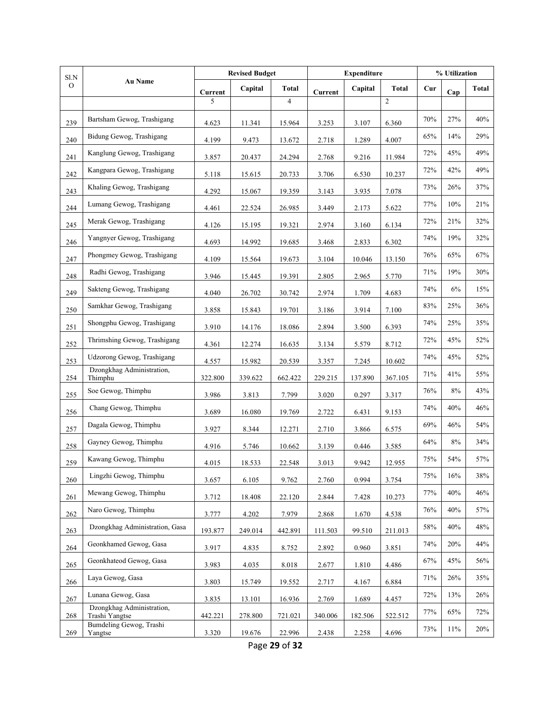| $\rm S1.N$    | <b>Au Name</b>                              | <b>Revised Budget</b> |         |                | <b>Expenditure</b> | % Utilization |                |        |     |              |
|---------------|---------------------------------------------|-----------------------|---------|----------------|--------------------|---------------|----------------|--------|-----|--------------|
| $\mathcal{O}$ |                                             | Current               | Capital | Total          | Current            | Capital       | Total          | Cur    | Cap | <b>Total</b> |
|               |                                             | 5                     |         | $\overline{4}$ |                    |               | $\overline{2}$ |        |     |              |
| 239           | Bartsham Gewog, Trashigang                  | 4.623                 | 11.341  | 15.964         | 3.253              | 3.107         | 6.360          | $70\%$ | 27% | $40\%$       |
| 240           | Bidung Gewog, Trashigang                    | 4.199                 | 9.473   | 13.672         | 2.718              | 1.289         | 4.007          | 65%    | 14% | 29%          |
| 241           | Kanglung Gewog, Trashigang                  | 3.857                 | 20.437  | 24.294         | 2.768              | 9.216         | 11.984         | 72%    | 45% | 49%          |
| 242           | Kangpara Gewog, Trashigang                  | 5.118                 | 15.615  | 20.733         | 3.706              | 6.530         | 10.237         | 72%    | 42% | 49%          |
| 243           | Khaling Gewog, Trashigang                   | 4.292                 | 15.067  | 19.359         | 3.143              | 3.935         | 7.078          | 73%    | 26% | 37%          |
| 244           | Lumang Gewog, Trashigang                    | 4.461                 | 22.524  | 26.985         | 3.449              | 2.173         | 5.622          | 77%    | 10% | 21%          |
| 245           | Merak Gewog, Trashigang                     | 4.126                 | 15.195  | 19.321         | 2.974              | 3.160         | 6.134          | 72%    | 21% | 32%          |
| 246           | Yangnyer Gewog, Trashigang                  | 4.693                 | 14.992  | 19.685         | 3.468              | 2.833         | 6.302          | 74%    | 19% | 32%          |
| 247           | Phongmey Gewog, Trashigang                  | 4.109                 | 15.564  | 19.673         | 3.104              | 10.046        | 13.150         | 76%    | 65% | 67%          |
| 248           | Radhi Gewog, Trashigang                     | 3.946                 | 15.445  | 19.391         | 2.805              | 2.965         | 5.770          | 71%    | 19% | 30%          |
| 249           | Sakteng Gewog, Trashigang                   | 4.040                 | 26.702  | 30.742         | 2.974              | 1.709         | 4.683          | 74%    | 6%  | 15%          |
| 250           | Samkhar Gewog, Trashigang                   | 3.858                 | 15.843  | 19.701         | 3.186              | 3.914         | 7.100          | 83%    | 25% | 36%          |
| 251           | Shongphu Gewog, Trashigang                  | 3.910                 | 14.176  | 18.086         | 2.894              | 3.500         | 6.393          | 74%    | 25% | 35%          |
| 252           | Thrimshing Gewog, Trashigang                | 4.361                 | 12.274  | 16.635         | 3.134              | 5.579         | 8.712          | 72%    | 45% | 52%          |
| 253           | Udzorong Gewog, Trashigang                  | 4.557                 | 15.982  | 20.539         | 3.357              | 7.245         | 10.602         | 74%    | 45% | 52%          |
| 254           | Dzongkhag Administration,<br>Thimphu        | 322.800               | 339.622 | 662.422        | 229.215            | 137.890       | 367.105        | 71%    | 41% | 55%          |
| 255           | Soe Gewog, Thimphu                          | 3.986                 | 3.813   | 7.799          | 3.020              | 0.297         | 3.317          | 76%    | 8%  | 43%          |
| 256           | Chang Gewog, Thimphu                        | 3.689                 | 16.080  | 19.769         | 2.722              | 6.431         | 9.153          | 74%    | 40% | 46%          |
| 257           | Dagala Gewog, Thimphu                       | 3.927                 | 8.344   | 12.271         | 2.710              | 3.866         | 6.575          | 69%    | 46% | 54%          |
| 258           | Gayney Gewog, Thimphu                       | 4.916                 | 5.746   | 10.662         | 3.139              | 0.446         | 3.585          | 64%    | 8%  | 34%          |
| 259           | Kawang Gewog, Thimphu                       | 4.015                 | 18.533  | 22.548         | 3.013              | 9.942         | 12.955         | 75%    | 54% | 57%          |
| 260           | Lingzhi Gewog, Thimphu                      | 3.657                 | 6.105   | 9.762          | 2.760              | 0.994         | 3.754          | 75%    | 16% | 38%          |
| 261           | Mewang Gewog, Thimphu                       | 3.712                 | 18.408  | 22.120         | 2.844              | 7.428         | 10.273         | 77%    | 40% | 46%          |
| 262           | Naro Gewog, Thimphu                         | 3.777                 | 4.202   | 7.979          | 2.868              | 1.670         | 4.538          | 76%    | 40% | 57%          |
| 263           | Dzongkhag Administration, Gasa              | 193.877               | 249.014 | 442.891        | 111.503            | 99.510        | 211.013        | 58%    | 40% | 48%          |
| 264           | Geonkhamed Gewog, Gasa                      | 3.917                 | 4.835   | 8.752          | 2.892              | 0.960         | 3.851          | 74%    | 20% | 44%          |
| 265           | Geonkhateod Gewog, Gasa                     | 3.983                 | 4.035   | 8.018          | 2.677              | 1.810         | 4.486          | 67%    | 45% | 56%          |
| 266           | Laya Gewog, Gasa                            | 3.803                 | 15.749  | 19.552         | 2.717              | 4.167         | 6.884          | 71%    | 26% | 35%          |
| 267           | Lunana Gewog, Gasa                          | 3.835                 | 13.101  | 16.936         | 2.769              | 1.689         | 4.457          | 72%    | 13% | 26%          |
| 268           | Dzongkhag Administration,<br>Trashi Yangtse | 442.221               | 278.800 | 721.021        | 340.006            | 182.506       | 522.512        | 77%    | 65% | 72%          |
| 269           | Bumdeling Gewog, Trashi<br>Yangtse          | 3.320                 | 19.676  | 22.996         | 2.438              | 2.258         | 4.696          | 73%    | 11% | 20%          |